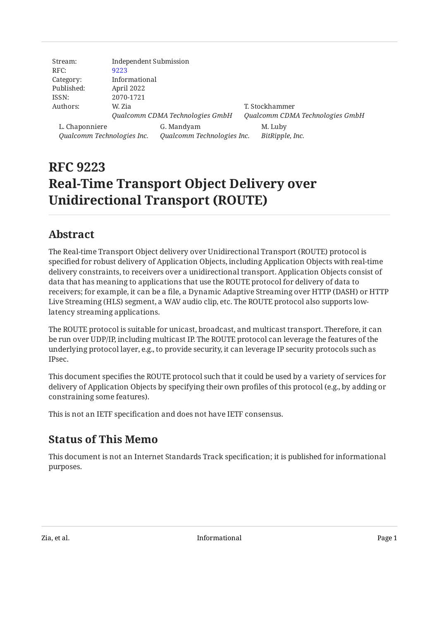| Stream:                    | <b>Independent Submission</b> |                                 |                                 |
|----------------------------|-------------------------------|---------------------------------|---------------------------------|
| RFC:                       | 9223                          |                                 |                                 |
| Category:                  | Informational                 |                                 |                                 |
| Published:                 | April 2022                    |                                 |                                 |
| ISSN:                      | 2070-1721                     |                                 |                                 |
| Authors:                   | W. Zia                        |                                 | T. Stockhammer                  |
|                            |                               | Qualcomm CDMA Technologies GmbH | Qualcomm CDMA Technologies GmbH |
| L. Chaponniere             |                               | G. Mandyam                      | M. Luby                         |
| Qualcomm Technologies Inc. |                               | Qualcomm Technologies Inc.      | BitRipple, Inc.                 |

# **RFC 9223 Real-Time Transport Object Delivery over Unidirectional Transport (ROUTE)**

## <span id="page-0-0"></span>**[Abstract](#page-0-0)**

The Real-time Transport Object delivery over Unidirectional Transport (ROUTE) protocol is specified for robust delivery of Application Objects, including Application Objects with real-time delivery constraints, to receivers over a unidirectional transport. Application Objects consist of data that has meaning to applications that use the ROUTE protocol for delivery of data to receivers; for example, it can be a file, a Dynamic Adaptive Streaming over HTTP (DASH) or HTTP Live Streaming (HLS) segment, a WAV audio clip, etc. The ROUTE protocol also supports lowlatency streaming applications.

The ROUTE protocol is suitable for unicast, broadcast, and multicast transport. Therefore, it can be run over UDP/IP, including multicast IP. The ROUTE protocol can leverage the features of the underlying protocol layer, e.g., to provide security, it can leverage IP security protocols such as IPsec.

This document specifies the ROUTE protocol such that it could be used by a variety of services for delivery of Application Objects by specifying their own profiles of this protocol (e.g., by adding or constraining some features).

<span id="page-0-1"></span>This is not an IETF specification and does not have IETF consensus.

## **[Status of This Memo](#page-0-1)**

This document is not an Internet Standards Track specification; it is published for informational purposes.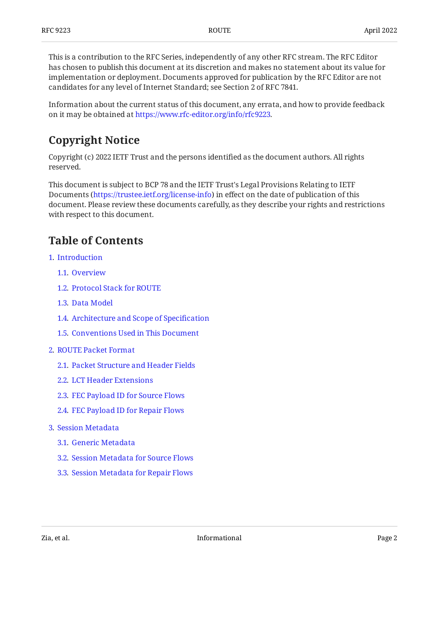This is a contribution to the RFC Series, independently of any other RFC stream. The RFC Editor has chosen to publish this document at its discretion and makes no statement about its value for implementation or deployment. Documents approved for publication by the RFC Editor are not candidates for any level of Internet Standard; see Section 2 of RFC 7841.

Information about the current status of this document, any errata, and how to provide feedback on it may be obtained at [https://www.rfc-editor.org/info/rfc9223.](https://www.rfc-editor.org/info/rfc9223)

## <span id="page-1-0"></span>**[Copyright Notice](#page-1-0)**

Copyright (c) 2022 IETF Trust and the persons identified as the document authors. All rights reserved.

This document is subject to BCP 78 and the IETF Trust's Legal Provisions Relating to IETF Documents (<https://trustee.ietf.org/license-info>) in effect on the date of publication of this document. Please review these documents carefully, as they describe your rights and restrictions with respect to this document.

## <span id="page-1-1"></span>**[Table of Contents](#page-1-1)**

- [1](#page-3-0). [Introduction](#page-3-0)
	- [1.1.](#page-3-1) [Overview](#page-3-1)
	- [1.2.](#page-5-0) [Protocol Stack for ROUTE](#page-5-0)
	- [1.3.](#page-5-1) [Data Model](#page-5-1)
	- [1.4.](#page-6-0) [Architecture and Scope of Speci](#page-6-0)fication
	- [1.5.](#page-7-0) [Conventions Used in This Document](#page-7-0)
- [2](#page-7-1). [ROUTE Packet Format](#page-7-1)
	- [2.1.](#page-7-2) [Packet Structure and Header Fields](#page-7-2)
	- [2.2.](#page-9-0) [LCT Header Extensions](#page-9-0)
	- [2.3.](#page-10-0) [FEC Payload ID for Source Flows](#page-10-0)
	- [2.4.](#page-10-1) [FEC Payload ID for Repair Flows](#page-10-1)
- [3](#page-10-2). [Session Metadata](#page-10-2)
	- [3.1.](#page-11-0) [Generic Metadata](#page-11-0)
	- [3.2.](#page-11-1) [Session Metadata for Source Flows](#page-11-1)
	- [3.3.](#page-12-0) [Session Metadata for Repair Flows](#page-12-0)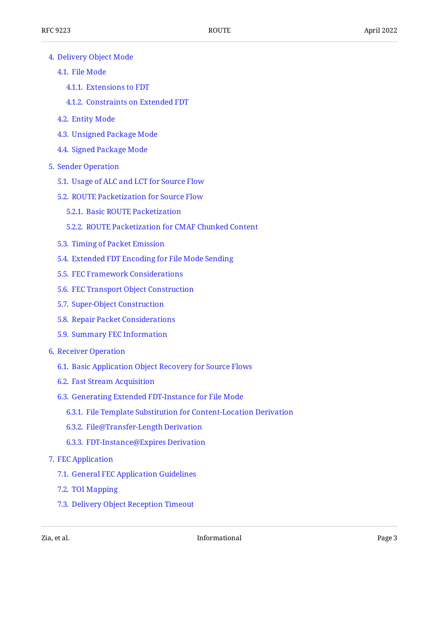- [4](#page-12-1). [Delivery Object Mode](#page-12-1)
	- [4.1.](#page-13-0) [File Mode](#page-13-0)
		- [4.1.1](#page-13-1). [Extensions to FDT](#page-13-1)
		- [4.1.2](#page-14-0). [Constraints on Extended FDT](#page-14-0)
	- [4.2.](#page-14-1) [Entity Mode](#page-14-1)
	- [4.3.](#page-14-2) [Unsigned Package Mode](#page-14-2)
	- [4.4.](#page-15-0) [Signed Package Mode](#page-15-0)
- [5](#page-15-1). [Sender Operation](#page-15-1)
	- [5.1.](#page-15-2) [Usage of ALC and LCT for Source Flow](#page-15-2)
	- [5.2.](#page-16-0) [ROUTE Packetization for Source Flow](#page-16-0)
		- [5.2.1](#page-16-1). [Basic ROUTE Packetization](#page-16-1)
		- [5.2.2](#page-17-0). [ROUTE Packetization for CMAF Chunked Content](#page-17-0)
	- [5.3.](#page-17-1) [Timing of Packet Emission](#page-17-1)
	- [5.4.](#page-17-2) [Extended FDT Encoding for File Mode Sending](#page-17-2)
	- [5.5.](#page-18-0) [FEC Framework Considerations](#page-18-0)
	- [5.6.](#page-18-1) [FEC Transport Object Construction](#page-18-1)
	- [5.7.](#page-19-0) [Super-Object Construction](#page-19-0)
	- [5.8.](#page-20-0) [Repair Packet Considerations](#page-20-0)
	- [5.9.](#page-20-1) [Summary FEC Information](#page-20-1)
- [6](#page-21-0). [Receiver Operation](#page-21-0)
	- [6.1.](#page-21-1) [Basic Application Object Recovery for Source Flows](#page-21-1)
	- [6.2.](#page-23-0) [Fast Stream Acquisition](#page-23-0)
	- [6.3.](#page-23-1) [Generating Extended FDT-Instance for File Mode](#page-23-1)
		- [6.3.1](#page-23-2). [File Template Substitution for Content-Location Derivation](#page-23-2)
		- [6.3.2](#page-23-3). [File@Transfer-Length Derivation](#page-23-3)
		- [6.3.3](#page-24-0). [FDT-Instance@Expires Derivation](#page-24-0)
- [7](#page-24-1). [FEC Application](#page-24-1)
	- [7.1.](#page-24-2) [General FEC Application Guidelines](#page-24-2)
	- [7.2.](#page-24-3) [TOI Mapping](#page-24-3)
	- [7.3.](#page-25-0) [Delivery Object Reception Timeout](#page-25-0)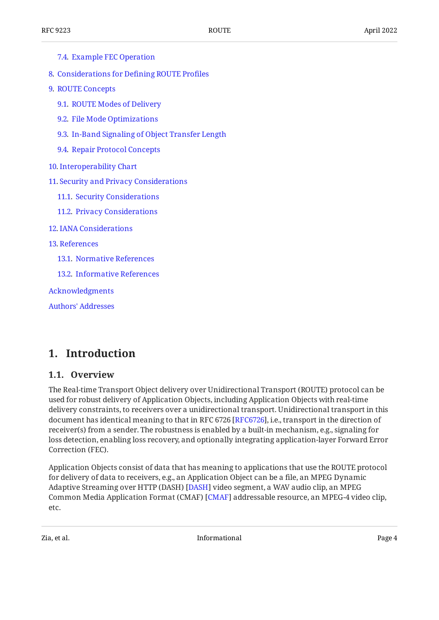| 7.4. Example FEC Operation                       |
|--------------------------------------------------|
| 8. Considerations for Defining ROUTE Profiles    |
| 9. ROUTE Concepts                                |
| 9.1. ROUTE Modes of Delivery                     |
| 9.2. File Mode Optimizations                     |
| 9.3. In-Band Signaling of Object Transfer Length |
| 9.4. Repair Protocol Concepts                    |
| 10. Interoperability Chart                       |
| 11. Security and Privacy Considerations          |
| 11.1. Security Considerations                    |
| 11.2. Privacy Considerations                     |
| 12. IANA Considerations                          |
| <b>13. References</b>                            |
| 13.1. Normative References                       |
| 13.2. Informative References                     |
| Acknowledgments                                  |
|                                                  |

<span id="page-3-0"></span>

[Authors' Addresses](#page-33-1)

### <span id="page-3-1"></span>**[1. Introduction](#page-3-0)**

#### **[1.1. Overview](#page-3-1)**

The Real-time Transport Object delivery over Unidirectional Transport (ROUTE) protocol can be used for robust delivery of Application Objects, including Application Objects with real-time delivery constraints, to receivers over a unidirectional transport. Unidirectional transport in this document has identical meaning to that in RFC 6726 [[RFC6726\]](#page-32-1), i.e., transport in the direction of receiver(s) from a sender. The robustness is enabled by a built-in mechanism, e.g., signaling for loss detection, enabling loss recovery, and optionally integrating application-layer Forward Error Correction (FEC).

Application Objects consist of data that has meaning to applications that use the ROUTE protocol for delivery of data to receivers, e.g., an Application Object can be a file, an MPEG Dynamic Adaptive Streaming over HTTP (DASH) [[DASH\]](#page-32-2) video segment, a WAV audio clip, an MPEG Common Media Application Format (CMAF) [CMAF] addressable resource, an MPEG-4 video clip, etc.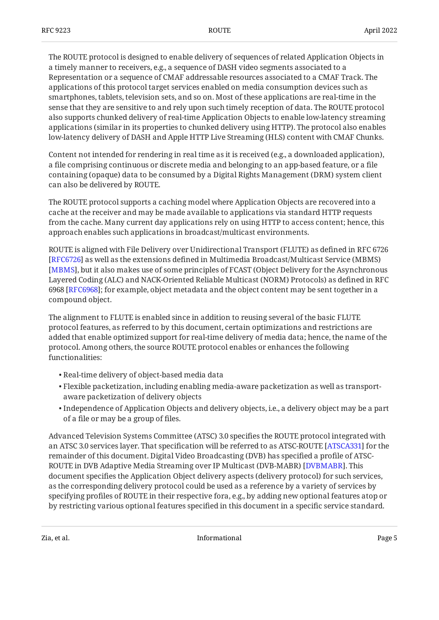The ROUTE protocol is designed to enable delivery of sequences of related Application Objects in a timely manner to receivers, e.g., a sequence of DASH video segments associated to a Representation or a sequence of CMAF addressable resources associated to a CMAF Track. The applications of this protocol target services enabled on media consumption devices such as smartphones, tablets, television sets, and so on. Most of these applications are real-time in the sense that they are sensitive to and rely upon such timely reception of data. The ROUTE protocol also supports chunked delivery of real-time Application Objects to enable low-latency streaming applications (similar in its properties to chunked delivery using HTTP). The protocol also enables low-latency delivery of DASH and Apple HTTP Live Streaming (HLS) content with CMAF Chunks.

Content not intended for rendering in real time as it is received (e.g., a downloaded application), a file comprising continuous or discrete media and belonging to an app-based feature, or a file containing (opaque) data to be consumed by a Digital Rights Management (DRM) system client can also be delivered by ROUTE.

The ROUTE protocol supports a caching model where Application Objects are recovered into a cache at the receiver and may be made available to applications via standard HTTP requests from the cache. Many current day applications rely on using HTTP to access content; hence, this approach enables such applications in broadcast/multicast environments.

ROUTE is aligned with File Delivery over Unidirectional Transport (FLUTE) as defined in RFC 6726  $[REG726]$  as well as the extensions defined in Multimedia Broadcast/Multicast Service (MBMS) [[MBMS\]](#page-32-4), but it also makes use of some principles of FCAST (Object Delivery for the Asynchronous Layered Coding (ALC) and NACK-Oriented Reliable Multicast (NORM) Protocols) as defined in RFC 6968 [RFC6968]; for example, object metadata and the object content may be sent together in a compound object.

The alignment to FLUTE is enabled since in addition to reusing several of the basic FLUTE protocol features, as referred to by this document, certain optimizations and restrictions are added that enable optimized support for real-time delivery of media data; hence, the name of the protocol. Among others, the source ROUTE protocol enables or enhances the following functionalities:

- Real-time delivery of object-based media data •
- $\bullet$  Flexible packetization, including enabling media-aware packetization as well as transportaware packetization of delivery objects
- $\bullet$  Independence of Application Objects and delivery objects, i.e., a delivery object may be a part of a file or may be a group of files.

Advanced Television Systems Committee (ATSC) 3.0 specifies the ROUTE protocol integrated with an ATSC 3.0 services layer. That specification will be referred to as ATSC-ROUTE [ATSCA331] for the remainder of this document. Digital Video Broadcasting (DVB) has specified a profile of ATSC-ROUTE in DVB Adaptive Media Streaming over IP Multicast (DVB-MABR) . This [DVBMABR] document specifies the Application Object delivery aspects (delivery protocol) for such services, as the corresponding delivery protocol could be used as a reference by a variety of services by specifying profiles of ROUTE in their respective fora, e.g., by adding new optional features atop or by restricting various optional features specified in this document in a specific service standard.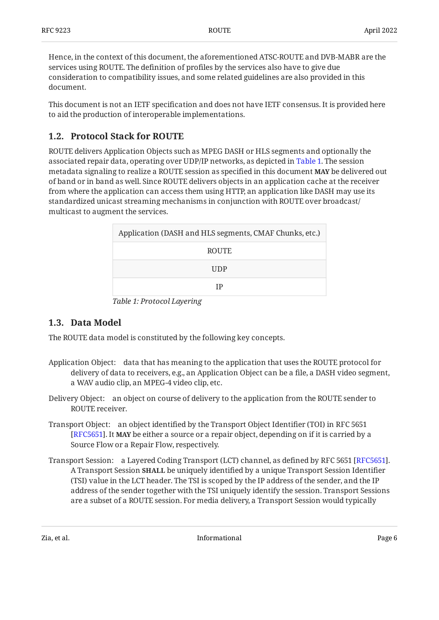Hence, in the context of this document, the aforementioned ATSC-ROUTE and DVB-MABR are the services using ROUTE. The definition of profiles by the services also have to give due consideration to compatibility issues, and some related guidelines are also provided in this document.

This document is not an IETF specification and does not have IETF consensus. It is provided here to aid the production of interoperable implementations.

### <span id="page-5-0"></span>**[1.2. Protocol Stack for ROUTE](#page-5-0)**

ROUTE delivers Application Objects such as MPEG DASH or HLS segments and optionally the associated repair data, operating over UDP/IP networks, as depicted in [Table 1.](#page-5-2) The session metadata signaling to realize a ROUTE session as specified in this document **MAY** be delivered out of band or in band as well. Since ROUTE delivers objects in an application cache at the receiver from where the application can access them using HTTP, an application like DASH may use its standardized unicast streaming mechanisms in conjunction with ROUTE over broadcast/ multicast to augment the services.

<span id="page-5-3"></span><span id="page-5-2"></span>

| Application (DASH and HLS segments, CMAF Chunks, etc.) |  |  |
|--------------------------------------------------------|--|--|
| <b>ROUTE</b>                                           |  |  |
| <b>UDP</b>                                             |  |  |
| ΙP                                                     |  |  |

*[Table 1:](#page-5-3) [Protocol Layering](#page-5-2)* 

### <span id="page-5-1"></span>**[1.3. Data Model](#page-5-1)**

The ROUTE data model is constituted by the following key concepts.

- Application Object: data that has meaning to the application that uses the ROUTE protocol for delivery of data to receivers, e.g., an Application Object can be a file, a DASH video segment, a WAV audio clip, an MPEG-4 video clip, etc.
- Delivery Object: an object on course of delivery to the application from the ROUTE sender to ROUTE receiver.
- Transport Object: an object identified by the Transport Object Identifier (TOI) in RFC 5651 [[RFC5651\]](#page-31-4). It **MAY** be either a source or a repair object, depending on if it is carried by a Source Flow or a Repair Flow, respectively.
- Transport Session: a Layered Coding Transport (LCT) channel, as defined by RFC 5651 [RFC5651]. A Transport Session **SHALL** be uniquely identified by a unique Transport Session Identifier (TSI) value in the LCT header. The TSI is scoped by the IP address of the sender, and the IP address of the sender together with the TSI uniquely identify the session. Transport Sessions are a subset of a ROUTE session. For media delivery, a Transport Session would typically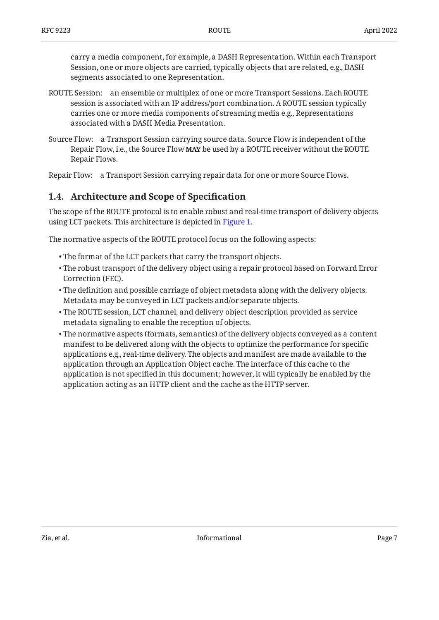carry a media component, for example, a DASH Representation. Within each Transport Session, one or more objects are carried, typically objects that are related, e.g., DASH segments associated to one Representation.

- ROUTE Session: an ensemble or multiplex of one or more Transport Sessions. Each ROUTE session is associated with an IP address/port combination. A ROUTE session typically carries one or more media components of streaming media e.g., Representations associated with a DASH Media Presentation.
- Source Flow: a Transport Session carrying source data. Source Flow is independent of the Repair Flow, i.e., the Source Flow **MAY** be used by a ROUTE receiver without the ROUTE Repair Flows.

<span id="page-6-0"></span>Repair Flow: a Transport Session carrying repair data for one or more Source Flows.

### **[1.4. Architecture and Scope of Speci](#page-6-0)fication**

The scope of the ROUTE protocol is to enable robust and real-time transport of delivery objects using LCT packets. This architecture is depicted in [Figure 1.](#page-7-3)

The normative aspects of the ROUTE protocol focus on the following aspects:

- The format of the LCT packets that carry the transport objects. •
- $\bullet$  The robust transport of the delivery object using a repair protocol based on Forward Error Correction (FEC).
- The definition and possible carriage of object metadata along with the delivery objects. Metadata may be conveyed in LCT packets and/or separate objects.
- The ROUTE session, LCT channel, and delivery object description provided as service metadata signaling to enable the reception of objects.
- <span id="page-6-1"></span> $\bullet$  The normative aspects (formats, semantics) of the delivery objects conveyed as a content manifest to be delivered along with the objects to optimize the performance for specific applications e.g., real-time delivery. The objects and manifest are made available to the application through an Application Object cache. The interface of this cache to the application is not specified in this document; however, it will typically be enabled by the application acting as an HTTP client and the cache as the HTTP server.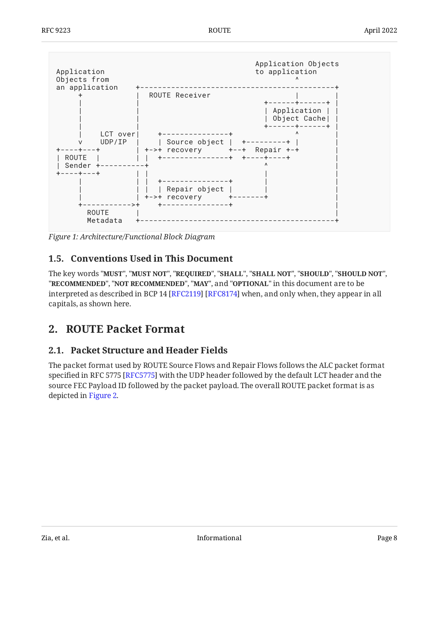<span id="page-7-3"></span>

<span id="page-7-0"></span>*[Figure 1:](#page-7-3) [Architecture/Functional Block Diagram](#page-6-1)* 

### **[1.5. Conventions Used in This Document](#page-7-0)**

The key words "MUST", "MUST NOT", "REQUIRED", "SHALL", "SHALL NOT", "SHOULD", "SHOULD NOT", "**RECOMMENDED", "NOT RECOMMENDED", "MAY",** and "OPTIONAL" in this document are to be interpreted as described in BCP 14 [RFC2119] [RFC8174] when, and only when, they appear in all capitals, as shown here.

### <span id="page-7-2"></span><span id="page-7-1"></span>**[2. ROUTE Packet Format](#page-7-1)**

### **[2.1. Packet Structure and Header Fields](#page-7-2)**

<span id="page-7-4"></span>The packet format used by ROUTE Source Flows and Repair Flows follows the ALC packet format specified in RFC 5775 [\[RFC5775\]](#page-31-6) with the UDP header followed by the default LCT header and the source FEC Payload ID followed by the packet payload. The overall ROUTE packet format is as depicted in [Figure 2.](#page-8-0)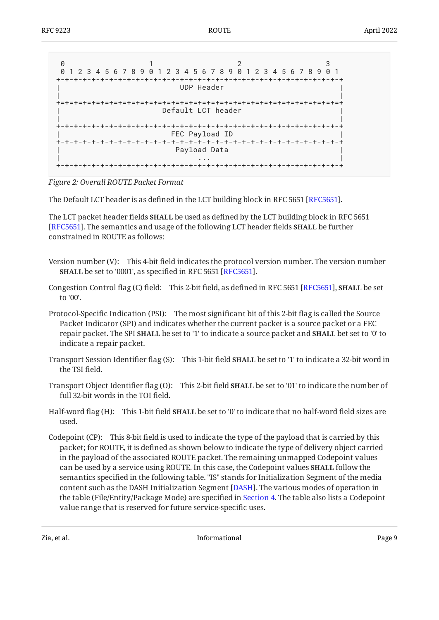<span id="page-8-0"></span>

| Ø<br>0 1 2 3 4 5 6 7 8 9 0 1 2 3 4 5 6 7 8 9 0 1 2 3 4 5 6 7 8 9 0 1 |  |  |  |  |
|----------------------------------------------------------------------|--|--|--|--|
| UDP Header                                                           |  |  |  |  |
| Default LCT header                                                   |  |  |  |  |
| FEC Payload ID<br>------------------------------                     |  |  |  |  |
| Payload Data                                                         |  |  |  |  |
|                                                                      |  |  |  |  |

*[Figure 2:](#page-8-0) [Overall ROUTE Packet Format](#page-7-4)* 

The Default LCT header is as defined in the LCT building block in RFC 5651 [RFC5651].

The LCT packet header fields **SHALL** be used as defined by the LCT building block in RFC 5651 [[RFC5651\]](#page-31-4). The semantics and usage of the following LCT header fields **SHALL** be further constrained in ROUTE as follows:

- Version number (V): This 4-bit field indicates the protocol version number. The version number **SHALL** be set to '0001', as specified in RFC 5651 [RFC5651].
- Congestion Control flag (C) field: This 2-bit field, as defined in RFC 5651 [\[RFC5651\]](#page-31-4), **SHALL** be set to '00'.
- Protocol-Specific Indication (PSI): The most significant bit of this 2-bit flag is called the Source Packet Indicator (SPI) and indicates whether the current packet is a source packet or a FEC repair packet. The SPI **SHALL** be set to '1' to indicate a source packet and **SHALL** bet set to '0' to indicate a repair packet.
- Transport Session Identifier flag (S): This 1-bit field **SHALL** be set to '1' to indicate a 32-bit word in the TSI field.
- Transport Object Identifier flag (O): This 2-bit field **SHALL** be set to '01' to indicate the number of full 32-bit words in the TOI field.
- Half-word flag (H): This 1-bit field **SHALL** be set to '0' to indicate that no half-word field sizes are used.
- Codepoint (CP): This 8-bit field is used to indicate the type of the payload that is carried by this packet; for ROUTE, it is defined as shown below to indicate the type of delivery object carried in the payload of the associated ROUTE packet. The remaining unmapped Codepoint values can be used by a service using ROUTE. In this case, the Codepoint values **SHALL** follow the semantics specified in the following table. "IS" stands for Initialization Segment of the media content such as the DASH Initialization Segment [DASH]. The various modes of operation in the table (File/Entity/Package Mode) are specified in [Section 4.](#page-12-1) The table also lists a Codepoint value range that is reserved for future service-specific uses.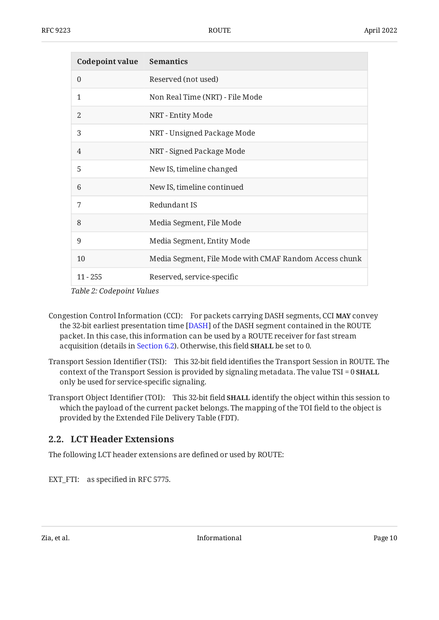<span id="page-9-2"></span><span id="page-9-1"></span>

| <b>Codepoint value Semantics</b> |                                                        |
|----------------------------------|--------------------------------------------------------|
| $\theta$                         | Reserved (not used)                                    |
| 1                                | Non Real Time (NRT) - File Mode                        |
| $\overline{2}$                   | NRT - Entity Mode                                      |
| 3                                | NRT - Unsigned Package Mode                            |
| $\overline{4}$                   | NRT - Signed Package Mode                              |
| 5                                | New IS, timeline changed                               |
| 6                                | New IS, timeline continued                             |
| 7                                | Redundant IS                                           |
| 8                                | Media Segment, File Mode                               |
| 9                                | Media Segment, Entity Mode                             |
| 10                               | Media Segment, File Mode with CMAF Random Access chunk |
| $11 - 255$                       | Reserved, service-specific                             |

*[Table 2](#page-9-1): [Codepoint Values](#page-9-2)* 

- Congestion Control Information (CCI): For packets carrying DASH segments, CCI **MAY** convey the 32-bit earliest presentation time [DASH] of the DASH segment contained in the ROUTE packet. In this case, this information can be used by a ROUTE receiver for fast stream acquisition (details in [Section 6.2](#page-23-0)). Otherwise, this field **SHALL** be set to 0.
- Transport Session Identifier (TSI): This 32-bit field identifies the Transport Session in ROUTE. The context of the Transport Session is provided by signaling metadata. The value TSI = 0 **SHALL** only be used for service-specific signaling.
- Transport Object Identifier (TOI): This 32-bit field **SHALL** identify the object within this session to which the payload of the current packet belongs. The mapping of the TOI field to the object is provided by the Extended File Delivery Table (FDT).

### <span id="page-9-0"></span>**[2.2. LCT Header Extensions](#page-9-0)**

The following LCT header extensions are defined or used by ROUTE:

EXT\_FTI: as specified in RFC 5775.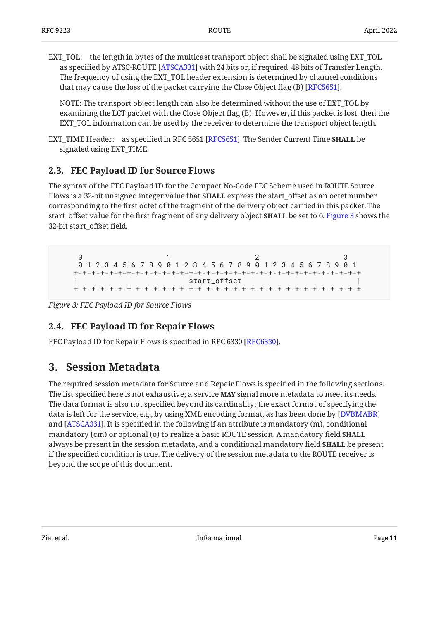EXT\_TOL: the length in bytes of the multicast transport object shall be signaled using EXT\_TOL as specified by ATSC-ROUTE [ATSCA331] with 24 bits or, if required, 48 bits of Transfer Length. The frequency of using the EXT\_TOL header extension is determined by channel conditions that may cause the loss of the packet carrying the Close Object flag (B) [RFC5651].

NOTE: The transport object length can also be determined without the use of EXT\_TOL by examining the LCT packet with the Close Object flag (B). However, if this packet is lost, then the EXT\_TOL information can be used by the receiver to determine the transport object length.

EXT\_TIME Header: as specified in RFC 5651 [RFC5651]. The Sender Current Time **SHALL** be signaled using EXT\_TIME.

### <span id="page-10-0"></span>**[2.3. FEC Payload ID for Source Flows](#page-10-0)**

The syntax of the FEC Payload ID for the Compact No-Code FEC Scheme used in ROUTE Source Flows is a 32-bit unsigned integer value that **SHALL** express the start\_offset as an octet number corresponding to the first octet of the fragment of the delivery object carried in this packet. The start\_offset value for the first fragment of any delivery object **SHALL** be set to 0. [Figure 3](#page-10-3) shows the 32-bit start\_offset field.

<span id="page-10-3"></span>**0** 1 2 3 0 1 2 3 4 5 6 7 8 9 0 1 2 3 4 5 6 7 8 9 0 1 2 3 4 5 6 7 8 9 0 1 +-+-+-+-+-+-+-+-+-+-+-+-+-+-+-+-+-+-+-+-+-+-+-+-+-+-+-+-+-+-+-+-+ | start\_offset | +-+-+-+-+-+-+-+-+-+-+-+-+-+-+-+-+-+-+-+-+-+-+-+-+-+-+-+-+-+-+-+-+

<span id="page-10-1"></span>*[Figure 3: FEC Payload ID for Source Flows](#page-10-3)* 

### **[2.4. FEC Payload ID for Repair Flows](#page-10-1)**

<span id="page-10-2"></span>FEC Payload ID for Repair Flows is specified in RFC 6330 [\[RFC6330](#page-31-7)].

## **[3. Session Metadata](#page-10-2)**

The required session metadata for Source and Repair Flows is specified in the following sections. The list specified here is not exhaustive; a service **MAY** signal more metadata to meet its needs. The data format is also not specified beyond its cardinality; the exact format of specifying the data is left for the service, e.g., by using XML encoding format, as has been done by [[DVBMABR](#page-32-6)] and [[ATSCA331](#page-31-3)]. It is specified in the following if an attribute is mandatory (m), conditional mandatory (cm) or optional (o) to realize a basic ROUTE session. A mandatory field **SHALL** always be present in the session metadata, and a conditional mandatory field **SHALL** be present if the specified condition is true. The delivery of the session metadata to the ROUTE receiver is beyond the scope of this document.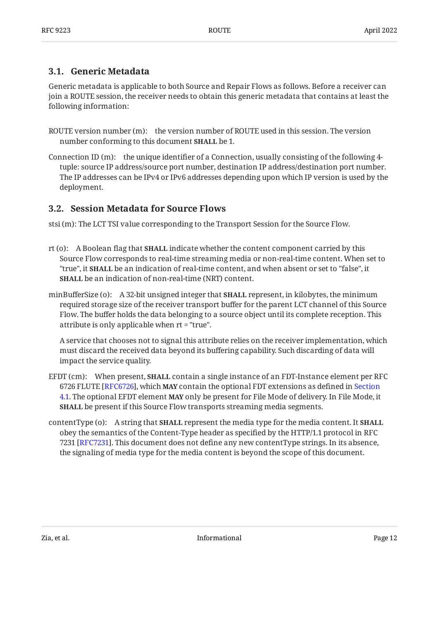### <span id="page-11-0"></span>**[3.1. Generic Metadata](#page-11-0)**

Generic metadata is applicable to both Source and Repair Flows as follows. Before a receiver can join a ROUTE session, the receiver needs to obtain this generic metadata that contains at least the following information:

- ROUTE version number (m): the version number of ROUTE used in this session. The version number conforming to this document **SHALL** be 1.
- Connection ID (m): the unique identifier of a Connection, usually consisting of the following 4 tuple: source IP address/source port number, destination IP address/destination port number. The IP addresses can be IPv4 or IPv6 addresses depending upon which IP version is used by the deployment.

### <span id="page-11-1"></span>**[3.2. Session Metadata for Source Flows](#page-11-1)**

stsi (m): The LCT TSI value corresponding to the Transport Session for the Source Flow.

- rt (o): A Boolean flag that **SHALL** indicate whether the content component carried by this Source Flow corresponds to real-time streaming media or non-real-time content. When set to "true", it **SHALL** be an indication of real-time content, and when absent or set to "false", it **SHALL** be an indication of non-real-time (NRT) content.
- minBufferSize (o): A 32-bit unsigned integer that **SHALL** represent, in kilobytes, the minimum required storage size of the receiver transport buffer for the parent LCT channel of this Source Flow. The buffer holds the data belonging to a source object until its complete reception. This attribute is only applicable when rt = "true".

A service that chooses not to signal this attribute relies on the receiver implementation, which must discard the received data beyond its buffering capability. Such discarding of data will impact the service quality.

- EFDT (cm): When present, **SHALL** contain a single instance of an FDT-Instance element per RFC 6726 FLUTE [RFC6726], which **MAY** contain the optional FDT extensions as defined in [Section](#page-13-0) [4.1.](#page-13-0) The optional EFDT element **MAY** only be present for File Mode of delivery. In File Mode, it **SHALL** be present if this Source Flow transports streaming media segments.
- contentType (o): A string that **SHALL** represent the media type for the media content. It **SHALL** obey the semantics of the Content-Type header as specified by the HTTP/1.1 protocol in RFC 7231 [RFC7231]. This document does not define any new contentType strings. In its absence, the signaling of media type for the media content is beyond the scope of this document.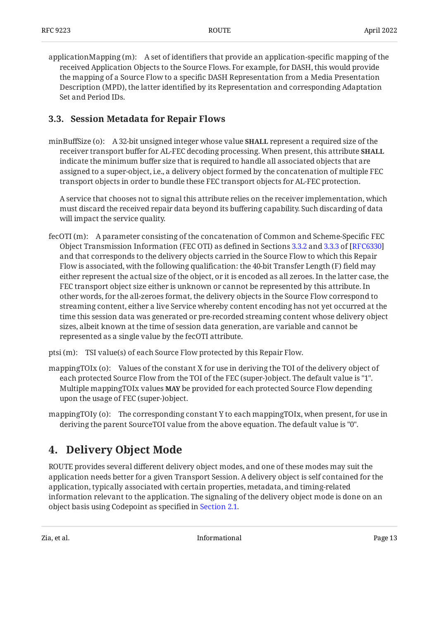applicationMapping (m): A set of identifiers that provide an application-specific mapping of the received Application Objects to the Source Flows. For example, for DASH, this would provide the mapping of a Source Flow to a specific DASH Representation from a Media Presentation Description (MPD), the latter identified by its Representation and corresponding Adaptation Set and Period IDs.

### <span id="page-12-0"></span>**[3.3. Session Metadata for Repair Flows](#page-12-0)**

minBuffSize (o): A 32-bit unsigned integer whose value **SHALL** represent a required size of the receiver transport buffer for AL‑FEC decoding processing. When present, this attribute **SHALL** indicate the minimum buffer size that is required to handle all associated objects that are assigned to a super-object, i.e., a delivery object formed by the concatenation of multiple FEC transport objects in order to bundle these FEC transport objects for AL-FEC protection.

A service that chooses not to signal this attribute relies on the receiver implementation, which must discard the received repair data beyond its buffering capability. Such discarding of data will impact the service quality.

- fecOTI (m): A parameter consisting of the concatenation of Common and Scheme-Specific FEC Object Transmission Information (FEC OTI) as defined in Sections [3.3.2](https://www.rfc-editor.org/rfc/rfc6330#section-3.3.2) and [3.3.3](https://www.rfc-editor.org/rfc/rfc6330#section-3.3.3) of [[RFC6330\]](#page-31-7) and that corresponds to the delivery objects carried in the Source Flow to which this Repair Flow is associated, with the following qualification: the 40-bit Transfer Length (F) field may either represent the actual size of the object, or it is encoded as all zeroes. In the latter case, the FEC transport object size either is unknown or cannot be represented by this attribute. In other words, for the all-zeroes format, the delivery objects in the Source Flow correspond to streaming content, either a live Service whereby content encoding has not yet occurred at the time this session data was generated or pre-recorded streaming content whose delivery object sizes, albeit known at the time of session data generation, are variable and cannot be represented as a single value by the fecOTI attribute.
- ptsi (m): TSI value(s) of each Source Flow protected by this Repair Flow.
- mappingTOIx (o): Values of the constant X for use in deriving the TOI of the delivery object of each protected Source Flow from the TOI of the FEC (super-)object. The default value is "1". Multiple mappingTOIx values **MAY** be provided for each protected Source Flow depending upon the usage of FEC (super-)object.
- <span id="page-12-1"></span>mappingTOIy (o): The corresponding constant Y to each mappingTOIx, when present, for use in deriving the parent SourceTOI value from the above equation. The default value is "0".

## **[4. Delivery Object Mode](#page-12-1)**

ROUTE provides several different delivery object modes, and one of these modes may suit the application needs better for a given Transport Session. A delivery object is self contained for the application, typically associated with certain properties, metadata, and timing-related information relevant to the application. The signaling of the delivery object mode is done on an object basis using Codepoint as specified in [Section 2.1](#page-7-2).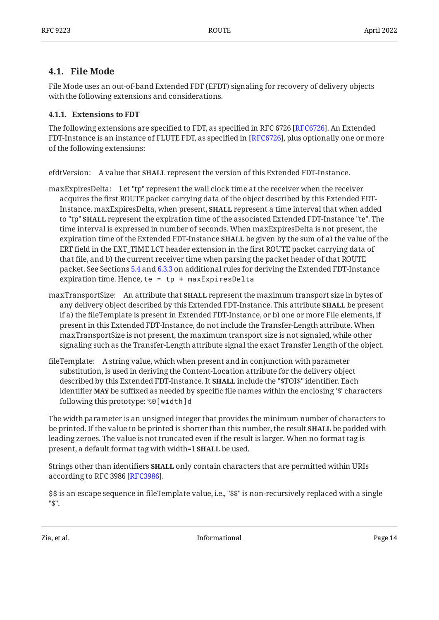### <span id="page-13-0"></span>**[4.1. File Mode](#page-13-0)**

File Mode uses an out-of-band Extended FDT (EFDT) signaling for recovery of delivery objects with the following extensions and considerations.

#### <span id="page-13-1"></span>**[4.1.1. Extensions to FDT](#page-13-1)**

The following extensions are specified to FDT, as specified in RFC 6726 [RFC6726]. An Extended FDT-Instance is an instance of FLUTE FDT, as specified in [RFC6726], plus optionally one or more of the following extensions:

efdtVersion: A value that **SHALL** represent the version of this Extended FDT-Instance.

- maxExpiresDelta: Let "tp" represent the wall clock time at the receiver when the receiver acquires the first ROUTE packet carrying data of the object described by this Extended FDT-Instance. maxExpiresDelta, when present, **SHALL** represent a time interval that when added to "tp" **SHALL** represent the expiration time of the associated Extended FDT-Instance "te". The time interval is expressed in number of seconds. When maxExpiresDelta is not present, the expiration time of the Extended FDT-Instance **SHALL** be given by the sum of a) the value of the ERT field in the EXT\_TIME LCT header extension in the first ROUTE packet carrying data of that file, and b) the current receiver time when parsing the packet header of that ROUTE packet. See Sections [5.4](#page-17-2) and [6.3.3](#page-24-0) on additional rules for deriving the Extended FDT-Instance expiration time. Hence, te =  $tp + maxExpressDelta$
- maxTransportSize: An attribute that **SHALL** represent the maximum transport size in bytes of any delivery object described by this Extended FDT-Instance. This attribute **SHALL** be present if a) the fileTemplate is present in Extended FDT-Instance, or b) one or more File elements, if present in this Extended FDT-Instance, do not include the Transfer-Length attribute. When maxTransportSize is not present, the maximum transport size is not signaled, while other signaling such as the Transfer-Length attribute signal the exact Transfer Length of the object.
- fileTemplate: A string value, which when present and in conjunction with parameter substitution, is used in deriving the Content-Location attribute for the delivery object described by this Extended FDT-Instance. It **SHALL** include the "\$TOI\$" identifier. Each identifier **MAY** be suffixed as needed by specific file names within the enclosing '\$' characters following this prototype: %0[width]d

The width parameter is an unsigned integer that provides the minimum number of characters to be printed. If the value to be printed is shorter than this number, the result **SHALL** be padded with leading zeroes. The value is not truncated even if the result is larger. When no format tag is present, a default format tag with width=1 **SHALL** be used.

Strings other than identifiers **SHALL** only contain characters that are permitted within URIs according to RFC 3986 [RFC3986].

\$\$ is an escape sequence in fileTemplate value, i.e., "\$\$" is non-recursively replaced with a single "\$".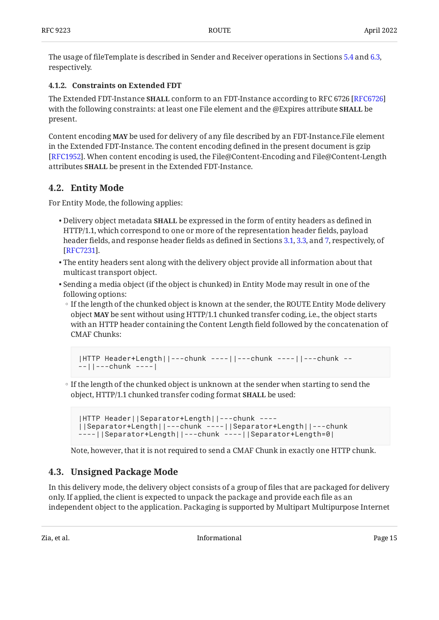The usage of fileTemplate is described in Sender and Receiver operations in Sections [5.4](#page-17-2) and [6.3](#page-23-1), respectively.

#### <span id="page-14-0"></span>**[4.1.2. Constraints on Extended FDT](#page-14-0)**

The Extended FDT-Instance **SHALL** conform to an FDT-Instance according to RFC 6726 [[RFC6726\]](#page-32-1) with the following constraints: at least one File element and the @Expires attribute **SHALL** be present.

Content encoding **MAY** be used for delivery of any file described by an FDT-Instance.File element in the Extended FDT-Instance. The content encoding defined in the present document is gzip [[RFC1952\]](#page-31-9). When content encoding is used, the File@Content-Encoding and File@Content-Length attributes **SHALL** be present in the Extended FDT-Instance.

### <span id="page-14-1"></span>**[4.2. Entity Mode](#page-14-1)**

For Entity Mode, the following applies:

- $\bullet$  Delivery object metadata  $\textbf{SHALL}$  be expressed in the form of entity headers as defined in HTTP/1.1, which correspond to one or more of the representation header fields, payload header fields, and response header fields as defined in Sections [3.1,](https://www.rfc-editor.org/rfc/rfc7231#section-3.1) [3.3](https://www.rfc-editor.org/rfc/rfc7231#section-3.3), and [7,](https://www.rfc-editor.org/rfc/rfc7231#section-7) respectively, of . [[RFC7231\]](#page-32-8)
- $\bullet$  The entity headers sent along with the delivery object provide all information about that multicast transport object.
- $\bullet$  Sending a media object (if the object is chunked) in Entity Mode may result in one of the following options:
	- If the length of the chunked object is known at the sender, the ROUTE Entity Mode delivery object **MAY** be sent without using HTTP/1.1 chunked transfer coding, i.e., the object starts with an HTTP header containing the Content Length field followed by the concatenation of CMAF Chunks:

```
|HTTP Header+Length||---chunk ----||---chunk ----||---chunk --
--||---chunk ----|
```
◦ If the length of the chunked object is unknown at the sender when starting to send the object, HTTP/1.1 chunked transfer coding format **SHALL** be used:

```
|HTTP Header||Separator+Length||---chunk ----
||Separator+Length||---chunk ----||Separator+Length||---chunk
 ----||Separator+Length||---chunk ----||Separator+Length=0|
```
Note, however, that it is not required to send a CMAF Chunk in exactly one HTTP chunk.

### <span id="page-14-2"></span>**[4.3. Unsigned Package Mode](#page-14-2)**

In this delivery mode, the delivery object consists of a group of files that are packaged for delivery only. If applied, the client is expected to unpack the package and provide each file as an independent object to the application. Packaging is supported by Multipart Multipurpose Internet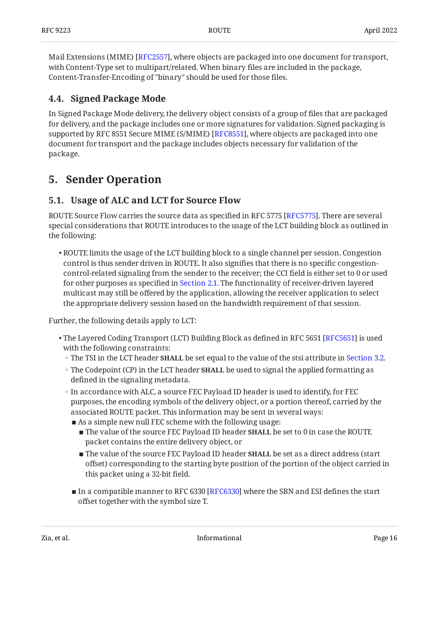Mail Extensions (MIME) [RFC2557], where objects are packaged into one document for transport, with Content-Type set to multipart/related. When binary files are included in the package, Content-Transfer-Encoding of "binary" should be used for those files.

### <span id="page-15-0"></span>**[4.4. Signed Package Mode](#page-15-0)**

In Signed Package Mode delivery, the delivery object consists of a group of files that are packaged for delivery, and the package includes one or more signatures for validation. Signed packaging is supported by RFC 8551 Secure MIME (S/MIME) [RFC8551], where objects are packaged into one document for transport and the package includes objects necessary for validation of the package.

### <span id="page-15-2"></span><span id="page-15-1"></span>**[5. Sender Operation](#page-15-1)**

### **[5.1. Usage of ALC and LCT for Source Flow](#page-15-2)**

ROUTE Source Flow carries the source data as specified in RFC 5775 [RFC5775]. There are several special considerations that ROUTE introduces to the usage of the LCT building block as outlined in the following:

 $\bullet$  ROUTE limits the usage of the LCT building block to a single channel per session. Congestion control is thus sender driven in ROUTE. It also signifies that there is no specific congestioncontrol-related signaling from the sender to the receiver; the CCI field is either set to 0 or used for other purposes as specified in [Section 2.1](#page-7-2). The functionality of receiver-driven layered multicast may still be offered by the application, allowing the receiver application to select the appropriate delivery session based on the bandwidth requirement of that session.

Further, the following details apply to LCT:

- $\bullet$  The Layered Coding Transport (LCT) Building Block as defined in RFC 5651 [\[RFC5651](#page-31-4)] is used with the following constraints:
	- The TSI in the LCT header **SHALL** be set equal to the value of the stsi attribute in [Section 3.2](#page-11-1).
	- The Codepoint (CP) in the LCT header **SHALL** be used to signal the applied formatting as defined in the signaling metadata.
	- In accordance with ALC, a source FEC Payload ID header is used to identify, for FEC purposes, the encoding symbols of the delivery object, or a portion thereof, carried by the associated ROUTE packet. This information may be sent in several ways:
		- As a simple new null FEC scheme with the following usage:
			- $\blacksquare$  The value of the source FEC Payload ID header  $\texttt{SHALL}$  be set to 0 in case the ROUTE packet contains the entire delivery object, or
			- The value of the source FEC Payload ID header **SHALL** be set as a direct address (start offset) corresponding to the starting byte position of the portion of the object carried in this packet using a 32-bit field.
		- $\blacksquare$  In a compatible manner to RFC 6330 [RFC6330] where the SBN and ESI defines the start offset together with the symbol size T.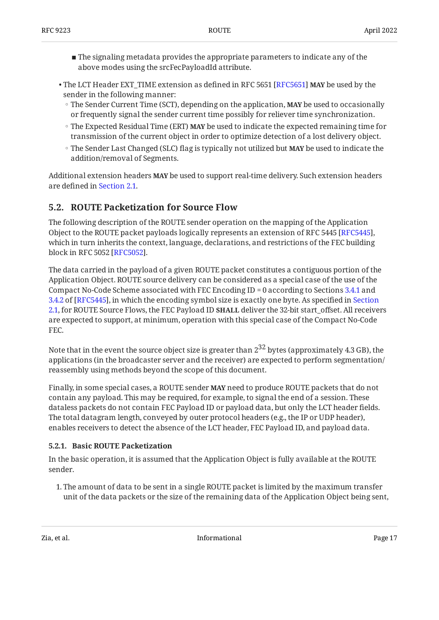- $\blacksquare$  The signaling metadata provides the appropriate parameters to indicate any of the above modes using the srcFecPayloadId attribute.
- The LCT Header EXT\_TIME extension as defined in RFC 5651 [[RFC5651\]](#page-31-4) **MAY** be used by the sender in the following manner:
	- The Sender Current Time (SCT), depending on the application, **MAY** be used to occasionally or frequently signal the sender current time possibly for reliever time synchronization.
	- The Expected Residual Time (ERT) **MAY** be used to indicate the expected remaining time for transmission of the current object in order to optimize detection of a lost delivery object.
	- The Sender Last Changed (SLC) flag is typically not utilized but **MAY** be used to indicate the addition/removal of Segments.

Additional extension headers **MAY** be used to support real-time delivery. Such extension headers are defined in [Section 2.1](#page-7-2).

### <span id="page-16-0"></span>**[5.2. ROUTE Packetization for Source Flow](#page-16-0)**

The following description of the ROUTE sender operation on the mapping of the Application Object to the ROUTE packet payloads logically represents an extension of RFC 5445 [RFC5445], which in turn inherits the context, language, declarations, and restrictions of the FEC building block in RFC 5052 [RFC5052].

The data carried in the payload of a given ROUTE packet constitutes a contiguous portion of the Application Object. ROUTE source delivery can be considered as a special case of the use of the Compact No-Code Scheme associated with FEC Encoding ID = 0 according to Sections [3.4.1](https://www.rfc-editor.org/rfc/rfc5445#section-3.4.1) and [3.4.2](https://www.rfc-editor.org/rfc/rfc5445#section-3.4.2) of [RFC5445], in which the encoding symbol size is exactly one byte. As specified in [Section](#page-7-2) [2.1,](#page-7-2) for ROUTE Source Flows, the FEC Payload ID **SHALL** deliver the 32-bit start\_offset. All receivers are expected to support, at minimum, operation with this special case of the Compact No-Code FEC.

Note that in the event the source object size is greater than  $2^{32}$  bytes (approximately 4.3 GB), the applications (in the broadcaster server and the receiver) are expected to perform segmentation/ reassembly using methods beyond the scope of this document.

Finally, in some special cases, a ROUTE sender **MAY** need to produce ROUTE packets that do not contain any payload. This may be required, for example, to signal the end of a session. These dataless packets do not contain FEC Payload ID or payload data, but only the LCT header fields. The total datagram length, conveyed by outer protocol headers (e.g., the IP or UDP header), enables receivers to detect the absence of the LCT header, FEC Payload ID, and payload data.

#### <span id="page-16-1"></span>**[5.2.1. Basic ROUTE Packetization](#page-16-1)**

In the basic operation, it is assumed that the Application Object is fully available at the ROUTE sender.

The amount of data to be sent in a single ROUTE packet is limited by the maximum transfer 1. unit of the data packets or the size of the remaining data of the Application Object being sent,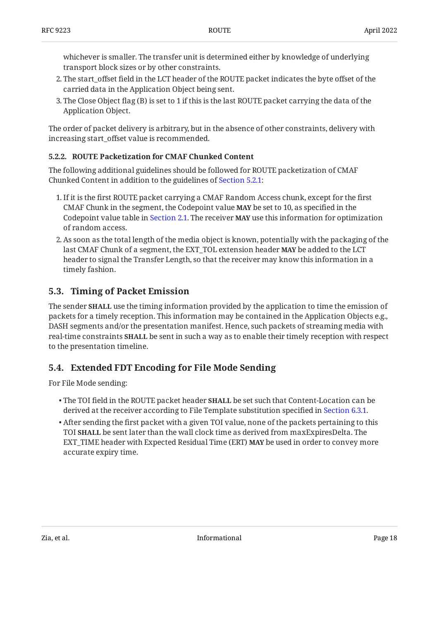whichever is smaller. The transfer unit is determined either by knowledge of underlying transport block sizes or by other constraints.

- The start\_offset field in the LCT header of the ROUTE packet indicates the byte offset of the 2. carried data in the Application Object being sent.
- The Close Object flag (B) is set to 1 if this is the last ROUTE packet carrying the data of the 3. Application Object.

The order of packet delivery is arbitrary, but in the absence of other constraints, delivery with increasing start\_offset value is recommended.

#### <span id="page-17-0"></span>**[5.2.2. ROUTE Packetization for CMAF Chunked Content](#page-17-0)**

The following additional guidelines should be followed for ROUTE packetization of CMAF Chunked Content in addition to the guidelines of [Section 5.2.1:](#page-16-1)

- 1. If it is the first ROUTE packet carrying a CMAF Random Access chunk, except for the first CMAF Chunk in the segment, the Codepoint value **MAY** be set to 10, as specified in the Codepoint value table in [Section 2.1.](#page-7-2) The receiver **MAY** use this information for optimization of random access.
- As soon as the total length of the media object is known, potentially with the packaging of the 2. last CMAF Chunk of a segment, the EXT\_TOL extension header **MAY** be added to the LCT header to signal the Transfer Length, so that the receiver may know this information in a timely fashion.

### <span id="page-17-1"></span>**[5.3. Timing of Packet Emission](#page-17-1)**

The sender **SHALL** use the timing information provided by the application to time the emission of packets for a timely reception. This information may be contained in the Application Objects e.g., DASH segments and/or the presentation manifest. Hence, such packets of streaming media with real-time constraints **SHALL** be sent in such a way as to enable their timely reception with respect to the presentation timeline.

### <span id="page-17-2"></span>**[5.4. Extended FDT Encoding for File Mode Sending](#page-17-2)**

For File Mode sending:

- The TOI field in the ROUTE packet header **SHALL** be set such that Content-Location can be derived at the receiver according to File Template substitution specified in [Section 6.3.1.](#page-23-2)
- $\bullet$  After sending the first packet with a given TOI value, none of the packets pertaining to this TOI **SHALL** be sent later than the wall clock time as derived from maxExpiresDelta. The EXT\_TIME header with Expected Residual Time (ERT) **MAY** be used in order to convey more accurate expiry time.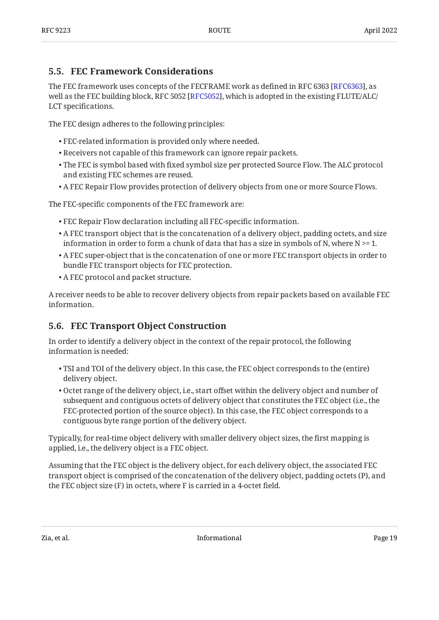### <span id="page-18-0"></span>**[5.5. FEC Framework Considerations](#page-18-0)**

The FEC framework uses concepts of the FECFRAME work as defined in RFC 6363 [RFC6363], as well as the FEC building block, RFC 5052 [RFC5052], which is adopted in the existing FLUTE/ALC/  $\,$ LCT specifications.

The FEC design adheres to the following principles:

- FEC-related information is provided only where needed. •
- Receivers not capable of this framework can ignore repair packets. •
- $\bullet$  The FEC is symbol based with fixed symbol size per protected Source Flow. The ALC protocol and existing FEC schemes are reused.
- A FEC Repair Flow provides protection of delivery objects from one or more Source Flows. •

The FEC-specific components of the FEC framework are:

- FEC Repair Flow declaration including all FEC-specific information. •
- $\bullet$  A FEC transport object that is the concatenation of a delivery object, padding octets, and size information in order to form a chunk of data that has a size in symbols of N, where  $N \ge 1$ .
- $\bullet$  A FEC super-object that is the concatenation of one or more FEC transport objects in order to bundle FEC transport objects for FEC protection.
- A FEC protocol and packet structure. •

A receiver needs to be able to recover delivery objects from repair packets based on available FEC information.

### <span id="page-18-1"></span>**[5.6. FEC Transport Object Construction](#page-18-1)**

In order to identify a delivery object in the context of the repair protocol, the following information is needed:

- $\bullet$  TSI and TOI of the delivery object. In this case, the FEC object corresponds to the (entire) delivery object.
- Octet range of the delivery object, i.e., start offset within the delivery object and number of subsequent and contiguous octets of delivery object that constitutes the FEC object (i.e., the FEC-protected portion of the source object). In this case, the FEC object corresponds to a contiguous byte range portion of the delivery object.

Typically, for real-time object delivery with smaller delivery object sizes, the first mapping is applied, i.e., the delivery object is a FEC object.

Assuming that the FEC object is the delivery object, for each delivery object, the associated FEC transport object is comprised of the concatenation of the delivery object, padding octets (P), and the FEC object size (F) in octets, where F is carried in a 4-octet field.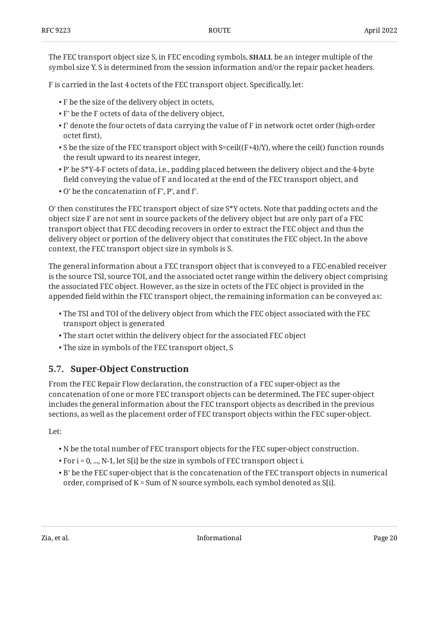The FEC transport object size S, in FEC encoding symbols, **SHALL** be an integer multiple of the symbol size Y. S is determined from the session information and/or the repair packet headers.

F is carried in the last 4 octets of the FEC transport object. Specifically, let:

- F be the size of the delivery object in octets, •
- F' be the F octets of data of the delivery object, •
- $\bullet$  f' denote the four octets of data carrying the value of F in network octet order (high-order octet first),
- $\bullet$  S be the size of the FEC transport object with S=ceil((F+4)/Y), where the ceil() function rounds the result upward to its nearest integer,
- $\bullet$  P' be S\*Y-4-F octets of data, i.e., padding placed between the delivery object and the 4-byte field conveying the value of F and located at the end of the FEC transport object, and
- O' be the concatenation of F', P', and f'. •

O' then constitutes the FEC transport object of size S\*Y octets. Note that padding octets and the object size F are not sent in source packets of the delivery object but are only part of a FEC transport object that FEC decoding recovers in order to extract the FEC object and thus the delivery object or portion of the delivery object that constitutes the FEC object. In the above context, the FEC transport object size in symbols is S.

The general information about a FEC transport object that is conveyed to a FEC-enabled receiver is the source TSI, source TOI, and the associated octet range within the delivery object comprising the associated FEC object. However, as the size in octets of the FEC object is provided in the appended field within the FEC transport object, the remaining information can be conveyed as:

- $\bullet$  The TSI and TOI of the delivery object from which the FEC object associated with the FEC transport object is generated
- The start octet within the delivery object for the associated FEC object •
- <span id="page-19-0"></span>The size in symbols of the FEC transport object, S •

### **[5.7. Super-Object Construction](#page-19-0)**

From the FEC Repair Flow declaration, the construction of a FEC super-object as the concatenation of one or more FEC transport objects can be determined. The FEC super-object includes the general information about the FEC transport objects as described in the previous sections, as well as the placement order of FEC transport objects within the FEC super-object.

Let:

- $\bullet$  N be the total number of FEC transport objects for the FEC super-object construction.
- $\bullet$  For i = 0, ..., N-1, let S[i] be the size in symbols of FEC transport object i.
- $\bullet$  B' be the FEC super-object that is the concatenation of the FEC transport objects in numerical order, comprised of K = Sum of N source symbols, each symbol denoted as S[i].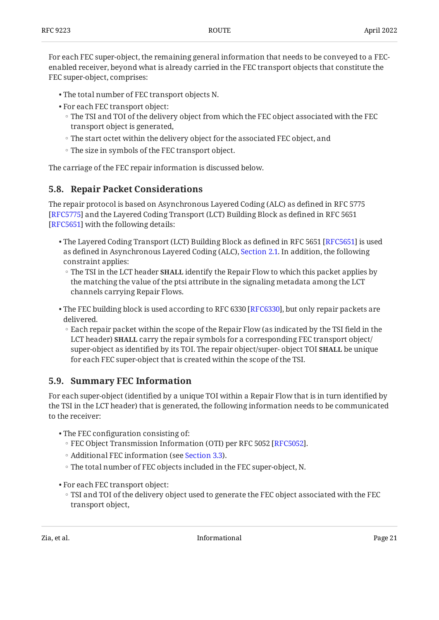For each FEC super-object, the remaining general information that needs to be conveyed to a FECenabled receiver, beyond what is already carried in the FEC transport objects that constitute the FEC super-object, comprises:

- The total number of FEC transport objects N. •
- For each FEC transport object:
	- The TSI and TOI of the delivery object from which the FEC object associated with the FEC transport object is generated,
	- The start octet within the delivery object for the associated FEC object, and ◦
	- The size in symbols of the FEC transport object. ◦

<span id="page-20-0"></span>The carriage of the FEC repair information is discussed below.

### **[5.8. Repair Packet Considerations](#page-20-0)**

The repair protocol is based on Asynchronous Layered Coding (ALC) as defined in RFC 5775 [[RFC5775\]](#page-31-6) and the Layered Coding Transport (LCT) Building Block as defined in RFC 5651 [[RFC5651\]](#page-31-4) with the following details:

- $\bullet$  The Layered Coding Transport (LCT) Building Block as defined in RFC 5651 [RFC5651] is used as defined in Asynchronous Layered Coding (ALC), [Section 2.1.](#page-7-2) In addition, the following constraint applies:
- The TSI in the LCT header **SHALL** identify the Repair Flow to which this packet applies by the matching the value of the ptsi attribute in the signaling metadata among the LCT channels carrying Repair Flows.
- $\bullet$  The FEC building block is used according to RFC 6330 [RFC6330], but only repair packets are delivered.
	- Each repair packet within the scope of the Repair Flow (as indicated by the TSI field in the LCT header) **SHALL** carry the repair symbols for a corresponding FEC transport object/ super-object as identified by its TOI. The repair object/super- object TOI **SHALL** be unique for each FEC super-object that is created within the scope of the TSI.

### <span id="page-20-1"></span>**[5.9. Summary FEC Information](#page-20-1)**

For each super-object (identified by a unique TOI within a Repair Flow that is in turn identified by the TSI in the LCT header) that is generated, the following information needs to be communicated to the receiver:

- The FEC configuration consisting of:
	- FEC Object Transmission Information (OTI) per RFC 5052 [[RFC5052\]](#page-31-12).
	- Additional FEC information (see [Section 3.3](#page-12-0)).
	- The total number of FEC objects included in the FEC super-object, N. ◦
- For each FEC transport object:
	- TSI and TOI of the delivery object used to generate the FEC object associated with the FEC transport object,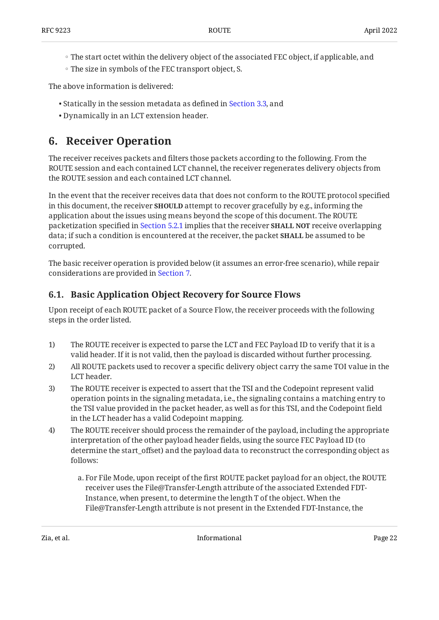- The start octet within the delivery object of the associated FEC object, if applicable, and
- The size in symbols of the FEC transport object, S. ◦

The above information is delivered:

- Statically in the session metadata as defined in [Section 3.3](#page-12-0), and
- <span id="page-21-0"></span>Dynamically in an LCT extension header. •

## **[6. Receiver Operation](#page-21-0)**

The receiver receives packets and filters those packets according to the following. From the ROUTE session and each contained LCT channel, the receiver regenerates delivery objects from the ROUTE session and each contained LCT channel.

In the event that the receiver receives data that does not conform to the ROUTE protocol specified in this document, the receiver **SHOULD** attempt to recover gracefully by e.g., informing the application about the issues using means beyond the scope of this document. The ROUTE packetization specified in [Section 5.2.1](#page-16-1) implies that the receiver **SHALL NOT** receive overlapping data; if such a condition is encountered at the receiver, the packet **SHALL** be assumed to be corrupted.

The basic receiver operation is provided below (it assumes an error-free scenario), while repair considerations are provided in [Section 7](#page-24-1).

### <span id="page-21-1"></span>**[6.1. Basic Application Object Recovery for Source Flows](#page-21-1)**

Upon receipt of each ROUTE packet of a Source Flow, the receiver proceeds with the following steps in the order listed.

- 1) The ROUTE receiver is expected to parse the LCT and FEC Payload ID to verify that it is a valid header. If it is not valid, then the payload is discarded without further processing.
- 2) All ROUTE packets used to recover a specific delivery object carry the same TOI value in the LCT header.
- 3) The ROUTE receiver is expected to assert that the TSI and the Codepoint represent valid operation points in the signaling metadata, i.e., the signaling contains a matching entry to the TSI value provided in the packet header, as well as for this TSI, and the Codepoint field in the LCT header has a valid Codepoint mapping.
- 4) The ROUTE receiver should process the remainder of the payload, including the appropriate interpretation of the other payload header fields, using the source FEC Payload ID (to determine the start\_offset) and the payload data to reconstruct the corresponding object as follows:
	- a. For File Mode, upon receipt of the first ROUTE packet payload for an object, the ROUTE receiver uses the File@Transfer-Length attribute of the associated Extended FDT-Instance, when present, to determine the length T of the object. When the File@Transfer-Length attribute is not present in the Extended FDT-Instance, the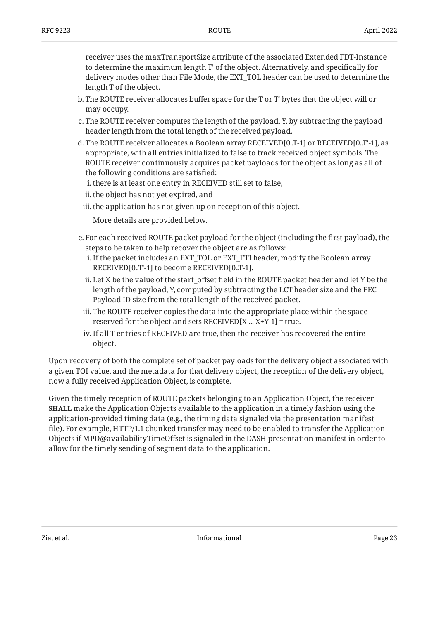receiver uses the maxTransportSize attribute of the associated Extended FDT-Instance to determine the maximum length T' of the object. Alternatively, and specifically for delivery modes other than File Mode, the EXT\_TOL header can be used to determine the length T of the object.

- b. The ROUTE receiver allocates buffer space for the T or T' bytes that the object will or may occupy.
- c. The ROUTE receiver computes the length of the payload, Y, by subtracting the payload header length from the total length of the received payload.
- d. The ROUTE receiver allocates a Boolean array RECEIVED[0..T-1] or RECEIVED[0..T'-1], as appropriate, with all entries initialized to false to track received object symbols. The ROUTE receiver continuously acquires packet payloads for the object as long as all of the following conditions are satisfied:
	- i. there is at least one entry in RECEIVED still set to false,
	- ii. the object has not yet expired, and
	- iii. the application has not given up on reception of this object.

More details are provided below.

- e. For each received ROUTE packet payload for the object (including the first payload), the steps to be taken to help recover the object are as follows:
	- If the packet includes an EXT\_TOL or EXT\_FTI header, modify the Boolean array i. RECEIVED[0..T'-1] to become RECEIVED[0..T-1].
	- ii. Let X be the value of the start\_offset field in the ROUTE packet header and let Y be the length of the payload, Y, computed by subtracting the LCT header size and the FEC Payload ID size from the total length of the received packet.
	- iii. The ROUTE receiver copies the data into the appropriate place within the space reserved for the object and sets  $RECEIVED[X ... X+Y-1] = true$ .
- iv. If all T entries of RECEIVED are true, then the receiver has recovered the entire object.

Upon recovery of both the complete set of packet payloads for the delivery object associated with a given TOI value, and the metadata for that delivery object, the reception of the delivery object, now a fully received Application Object, is complete.

Given the timely reception of ROUTE packets belonging to an Application Object, the receiver **SHALL** make the Application Objects available to the application in a timely fashion using the application-provided timing data (e.g., the timing data signaled via the presentation manifest file). For example, HTTP/1.1 chunked transfer may need to be enabled to transfer the Application Objects if MPD@availabilityTimeOffset is signaled in the DASH presentation manifest in order to allow for the timely sending of segment data to the application.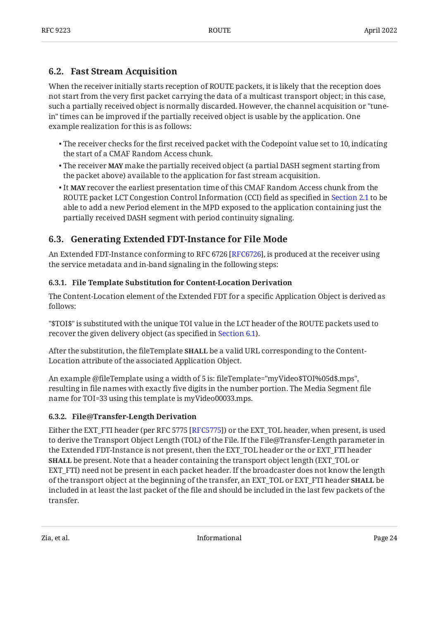### <span id="page-23-0"></span>**[6.2. Fast Stream Acquisition](#page-23-0)**

When the receiver initially starts reception of ROUTE packets, it is likely that the reception does not start from the very first packet carrying the data of a multicast transport object; in this case, such a partially received object is normally discarded. However, the channel acquisition or "tunein" times can be improved if the partially received object is usable by the application. One example realization for this is as follows:

- $\bullet$  The receiver checks for the first received packet with the Codepoint value set to 10, indicating the start of a CMAF Random Access chunk.
- The receiver **MAY** make the partially received object (a partial DASH segment starting from the packet above) available to the application for fast stream acquisition.
- $\bullet$  It MAY recover the earliest presentation time of this CMAF Random Access chunk from the ROUTE packet LCT Congestion Control Information (CCI) field as specified in [Section 2.1](#page-7-2) to be able to add a new Period element in the MPD exposed to the application containing just the partially received DASH segment with period continuity signaling.

### <span id="page-23-1"></span>**[6.3. Generating Extended FDT-Instance for File Mode](#page-23-1)**

An Extended FDT-Instance conforming to RFC 6726 [RFC6726], is produced at the receiver using the service metadata and in-band signaling in the following steps:

#### <span id="page-23-2"></span>**[6.3.1. File Template Substitution for Content-Location Derivation](#page-23-2)**

The Content-Location element of the Extended FDT for a specific Application Object is derived as follows:

"\$TOI\$" is substituted with the unique TOI value in the LCT header of the ROUTE packets used to recover the given delivery object (as specified in [Section 6.1](#page-21-1)).

After the substitution, the fileTemplate **SHALL** be a valid URL corresponding to the Content-Location attribute of the associated Application Object.

An example @fileTemplate using a width of 5 is: fileTemplate="myVideo\$TOI%05d\$.mps", resulting in file names with exactly five digits in the number portion. The Media Segment file name for TOI=33 using this template is myVideo00033.mps.

#### <span id="page-23-3"></span>**[6.3.2. File@Transfer-Length Derivation](#page-23-3)**

Either the EXT\_FTI header (per RFC 5775 [\[RFC5775\]](#page-31-6)) or the EXT\_TOL header, when present, is used to derive the Transport Object Length (TOL) of the File. If the File@Transfer-Length parameter in the Extended FDT-Instance is not present, then the EXT\_TOL header or the or EXT\_FTI header **SHALL** be present. Note that a header containing the transport object length (EXT\_TOL or EXT\_FTI) need not be present in each packet header. If the broadcaster does not know the length of the transport object at the beginning of the transfer, an EXT\_TOL or EXT\_FTI header **SHALL** be included in at least the last packet of the file and should be included in the last few packets of the transfer.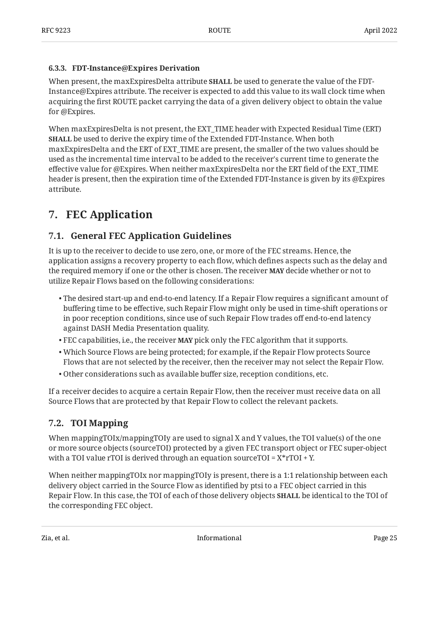#### <span id="page-24-0"></span>**[6.3.3. FDT-Instance@Expires Derivation](#page-24-0)**

When present, the maxExpiresDelta attribute **SHALL** be used to generate the value of the FDT-Instance@Expires attribute. The receiver is expected to add this value to its wall clock time when acquiring the first ROUTE packet carrying the data of a given delivery object to obtain the value for @Expires.

When maxExpiresDelta is not present, the EXT\_TIME header with Expected Residual Time (ERT) **SHALL** be used to derive the expiry time of the Extended FDT-Instance. When both maxExpiresDelta and the ERT of EXT\_TIME are present, the smaller of the two values should be used as the incremental time interval to be added to the receiver's current time to generate the effective value for @Expires. When neither maxExpiresDelta nor the ERT field of the EXT\_TIME header is present, then the expiration time of the Extended FDT-Instance is given by its @Expires attribute.

## <span id="page-24-2"></span><span id="page-24-1"></span>**[7. FEC Application](#page-24-1)**

### **[7.1. General FEC Application Guidelines](#page-24-2)**

It is up to the receiver to decide to use zero, one, or more of the FEC streams. Hence, the application assigns a recovery property to each flow, which defines aspects such as the delay and the required memory if one or the other is chosen. The receiver **MAY** decide whether or not to utilize Repair Flows based on the following considerations:

- $\bullet$  The desired start-up and end-to-end latency. If a Repair Flow requires a significant amount of buffering time to be effective, such Repair Flow might only be used in time-shift operations or in poor reception conditions, since use of such Repair Flow trades off end-to-end latency against DASH Media Presentation quality.
- FEC capabilities, i.e., the receiver **MAY** pick only the FEC algorithm that it supports.
- Which Source Flows are being protected; for example, if the Repair Flow protects Source Flows that are not selected by the receiver, then the receiver may not select the Repair Flow.
- Other considerations such as available buffer size, reception conditions, etc. •

If a receiver decides to acquire a certain Repair Flow, then the receiver must receive data on all Source Flows that are protected by that Repair Flow to collect the relevant packets.

### <span id="page-24-3"></span>**[7.2. TOI Mapping](#page-24-3)**

When mappingTOIx/mappingTOIy are used to signal X and Y values, the TOI value(s) of the one or more source objects (sourceTOI) protected by a given FEC transport object or FEC super-object with a TOI value rTOI is derived through an equation sourceTOI =  $X^*rTOI + Y$ .

When neither mappingTOIx nor mappingTOIy is present, there is a 1:1 relationship between each delivery object carried in the Source Flow as identified by ptsi to a FEC object carried in this Repair Flow. In this case, the TOI of each of those delivery objects **SHALL** be identical to the TOI of the corresponding FEC object.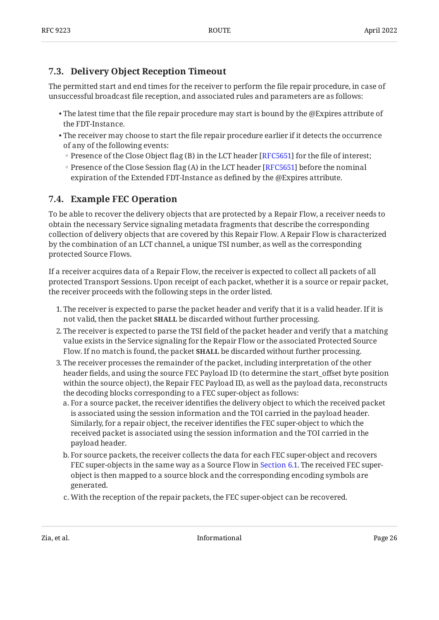### <span id="page-25-0"></span>**[7.3. Delivery Object Reception Timeout](#page-25-0)**

The permitted start and end times for the receiver to perform the file repair procedure, in case of unsuccessful broadcast file reception, and associated rules and parameters are as follows:

- $\bullet$  The latest time that the file repair procedure may start is bound by the @Expires attribute of the FDT-Instance.
- $\bullet$  The receiver may choose to start the file repair procedure earlier if it detects the occurrence of any of the following events:
	- Presence of the Close Object flag (B) in the LCT header [RFC5651] for the file of interest;
	- Presence of the Close Session flag (A) in the LCT header [RFC5651] before the nominal expiration of the Extended FDT-Instance as defined by the @Expires attribute.

### <span id="page-25-1"></span>**[7.4. Example FEC Operation](#page-25-1)**

To be able to recover the delivery objects that are protected by a Repair Flow, a receiver needs to obtain the necessary Service signaling metadata fragments that describe the corresponding collection of delivery objects that are covered by this Repair Flow. A Repair Flow is characterized by the combination of an LCT channel, a unique TSI number, as well as the corresponding protected Source Flows.

If a receiver acquires data of a Repair Flow, the receiver is expected to collect all packets of all protected Transport Sessions. Upon receipt of each packet, whether it is a source or repair packet, the receiver proceeds with the following steps in the order listed.

- 1. The receiver is expected to parse the packet header and verify that it is a valid header. If it is not valid, then the packet **SHALL** be discarded without further processing.
- The receiver is expected to parse the TSI field of the packet header and verify that a matching 2. value exists in the Service signaling for the Repair Flow or the associated Protected Source Flow. If no match is found, the packet **SHALL** be discarded without further processing.
- The receiver processes the remainder of the packet, including interpretation of the other 3. header fields, and using the source FEC Payload ID (to determine the start\_offset byte position within the source object), the Repair FEC Payload ID, as well as the payload data, reconstructs the decoding blocks corresponding to a FEC super-object as follows:
	- a. For a source packet, the receiver identifies the delivery object to which the received packet is associated using the session information and the TOI carried in the payload header. Similarly, for a repair object, the receiver identifies the FEC super-object to which the received packet is associated using the session information and the TOI carried in the payload header.
	- b. For source packets, the receiver collects the data for each FEC super-object and recovers FEC super-objects in the same way as a Source Flow in [Section 6.1](#page-21-1). The received FEC superobject is then mapped to a source block and the corresponding encoding symbols are generated.
	- c. With the reception of the repair packets, the FEC super-object can be recovered.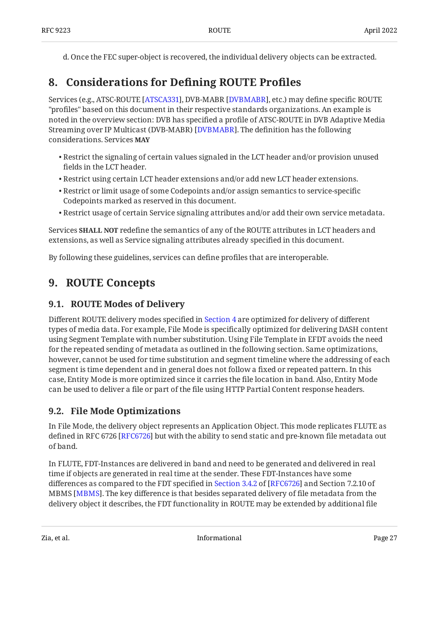<span id="page-26-0"></span>d. Once the FEC super-object is recovered, the individual delivery objects can be extracted.

## **[8. Considerations for De](#page-26-0)fining ROUTE Profiles**

Services (e.g., ATSC-ROUTE [ATSCA331], DVB-MABR [DVBMABR], etc.) may define specific ROUTE "profiles" based on this document in their respective standards organizations. An example is noted in the overview section: DVB has specified a profile of ATSC-ROUTE in DVB Adaptive Media Streaming over IP Multicast (DVB-MABR) [DVBMABR]. The definition has the following considerations. Services **MAY**

- $\bullet$  Restrict the signaling of certain values signaled in the LCT header and/or provision unused fields in the LCT header.
- $\bullet$  Restrict using certain LCT header extensions and/or add new LCT header extensions.
- $\bullet$  Restrict or limit usage of some Codepoints and/or assign semantics to service-specific Codepoints marked as reserved in this document.
- $\bullet$  Restrict usage of certain Service signaling attributes and/or add their own service metadata.

Services **SHALL NOT** redefine the semantics of any of the ROUTE attributes in LCT headers and extensions, as well as Service signaling attributes already specified in this document.

<span id="page-26-1"></span>By following these guidelines, services can define profiles that are interoperable.

## <span id="page-26-2"></span>**[9. ROUTE Concepts](#page-26-1)**

### **[9.1. ROUTE Modes of Delivery](#page-26-2)**

Different ROUTE delivery modes specified in [Section 4](#page-12-1) are optimized for delivery of different types of media data. For example, File Mode is specifically optimized for delivering DASH content using Segment Template with number substitution. Using File Template in EFDT avoids the need for the repeated sending of metadata as outlined in the following section. Same optimizations, however, cannot be used for time substitution and segment timeline where the addressing of each segment is time dependent and in general does not follow a fixed or repeated pattern. In this case, Entity Mode is more optimized since it carries the file location in band. Also, Entity Mode can be used to deliver a file or part of the file using HTTP Partial Content response headers.

### <span id="page-26-3"></span>**[9.2. File Mode Optimizations](#page-26-3)**

In File Mode, the delivery object represents an Application Object. This mode replicates FLUTE as defined in RFC 6726 [\[RFC6726\]](#page-32-1) but with the ability to send static and pre-known file metadata out of band.

In FLUTE, FDT-Instances are delivered in band and need to be generated and delivered in real time if objects are generated in real time at the sender. These FDT-Instances have some differencesas compared to the FDT specified in Section 3.4.2 of [RFC6726] and Section 7.2.10 of MBMS [\[MBMS\]](#page-32-4). The key difference is that besides separated delivery of file metadata from the delivery object it describes, the FDT functionality in ROUTE may be extended by additional file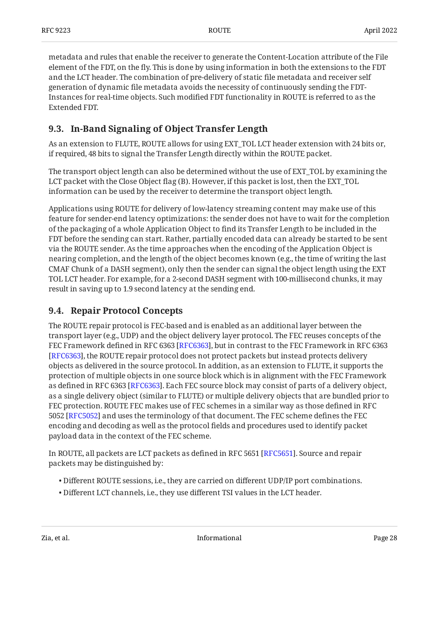metadata and rules that enable the receiver to generate the Content-Location attribute of the File element of the FDT, on the fly. This is done by using information in both the extensions to the FDT and the LCT header. The combination of pre-delivery of static file metadata and receiver self generation of dynamic file metadata avoids the necessity of continuously sending the FDT-Instances for real-time objects. Such modified FDT functionality in ROUTE is referred to as the Extended FDT.

### <span id="page-27-0"></span>**[9.3. In-Band Signaling of Object Transfer Length](#page-27-0)**

As an extension to FLUTE, ROUTE allows for using EXT\_TOL LCT header extension with 24 bits or, if required, 48 bits to signal the Transfer Length directly within the ROUTE packet.

The transport object length can also be determined without the use of EXT\_TOL by examining the LCT packet with the Close Object flag (B). However, if this packet is lost, then the EXT\_TOL information can be used by the receiver to determine the transport object length.

Applications using ROUTE for delivery of low-latency streaming content may make use of this feature for sender-end latency optimizations: the sender does not have to wait for the completion of the packaging of a whole Application Object to find its Transfer Length to be included in the FDT before the sending can start. Rather, partially encoded data can already be started to be sent via the ROUTE sender. As the time approaches when the encoding of the Application Object is nearing completion, and the length of the object becomes known (e.g., the time of writing the last CMAF Chunk of a DASH segment), only then the sender can signal the object length using the EXT TOL LCT header. For example, for a 2-second DASH segment with 100-millisecond chunks, it may result in saving up to 1.9 second latency at the sending end.

### <span id="page-27-1"></span>**[9.4. Repair Protocol Concepts](#page-27-1)**

The ROUTE repair protocol is FEC-based and is enabled as an additional layer between the transport layer (e.g., UDP) and the object delivery layer protocol. The FEC reuses concepts of the FEC Framework defined in RFC 6363 [[RFC6363\]](#page-31-13), but in contrast to the FEC Framework in RFC 6363 [[RFC6363\]](#page-31-13), the ROUTE repair protocol does not protect packets but instead protects delivery objects as delivered in the source protocol. In addition, as an extension to FLUTE, it supports the protection of multiple objects in one source block which is in alignment with the FEC Framework as defined in RFC 6363 [RFC6363]. Each FEC source block may consist of parts of a delivery object, as a single delivery object (similar to FLUTE) or multiple delivery objects that are bundled prior to FEC protection. ROUTE FEC makes use of FEC schemes in a similar way as those defined in RFC 5052 [[RFC5052\]](#page-31-12) and uses the terminology of that document. The FEC scheme defines the FEC encoding and decoding as well as the protocol fields and procedures used to identify packet payload data in the context of the FEC scheme.

In ROUTE, all packets are LCT packets as defined in RFC 5651 [[RFC5651\]](#page-31-4). Source and repair packets may be distinguished by:

- Different ROUTE sessions, i.e., they are carried on different UDP/IP port combinations. •
- Different LCT channels, i.e., they use different TSI values in the LCT header. •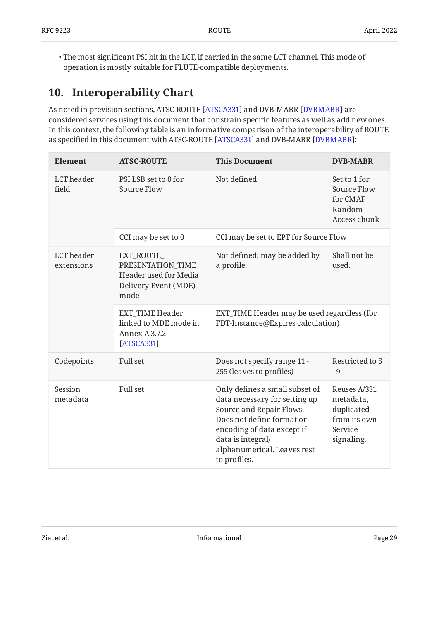$\bullet$  The most significant PSI bit in the LCT, if carried in the same LCT channel. This mode of operation is mostly suitable for FLUTE-compatible deployments.

## <span id="page-28-0"></span>**[10. Interoperability Chart](#page-28-0)**

As noted in prevision sections, ATSC-ROUTE [ATSCA331] and DVB-MABR [DVBMABR] are considered services using this document that constrain specific features as well as add new ones. In this context, the following table is an informative comparison of the interoperability of ROUTE as specified in this document with ATSC-ROUTE [ATSCA331] and DVB-MABR [DVBMABR]:

<span id="page-28-1"></span>

| Element                  | <b>ATSC-ROUTE</b>                                                                        | <b>This Document</b>                                                                                                                                                                                                       | <b>DVB-MABR</b>                                                                  |
|--------------------------|------------------------------------------------------------------------------------------|----------------------------------------------------------------------------------------------------------------------------------------------------------------------------------------------------------------------------|----------------------------------------------------------------------------------|
| LCT header<br>field      | PSI LSB set to 0 for<br>Source Flow                                                      | Not defined                                                                                                                                                                                                                | Set to 1 for<br>Source Flow<br>for CMAF<br>Random<br>Access chunk                |
|                          | CCI may be set to 0                                                                      | CCI may be set to EPT for Source Flow                                                                                                                                                                                      |                                                                                  |
| LCT header<br>extensions | EXT_ROUTE_<br>PRESENTATION_TIME<br>Header used for Media<br>Delivery Event (MDE)<br>mode | Not defined; may be added by<br>a profile.                                                                                                                                                                                 | Shall not be<br>used.                                                            |
|                          | <b>EXT_TIME Header</b><br>linked to MDE mode in<br>Annex A.3.7.2<br>[ATSCA331]           | EXT_TIME Header may be used regardless (for<br>FDT-Instance@Expires calculation)                                                                                                                                           |                                                                                  |
| Codepoints               | Full set                                                                                 | Does not specify range 11 -<br>255 (leaves to profiles)                                                                                                                                                                    | Restricted to 5<br>- 9                                                           |
| Session<br>metadata      | <b>Full set</b>                                                                          | Only defines a small subset of<br>data necessary for setting up<br>Source and Repair Flows.<br>Does not define format or<br>encoding of data except if<br>data is integral/<br>alphanumerical. Leaves rest<br>to profiles. | Reuses A/331<br>metadata,<br>duplicated<br>from its own<br>Service<br>signaling. |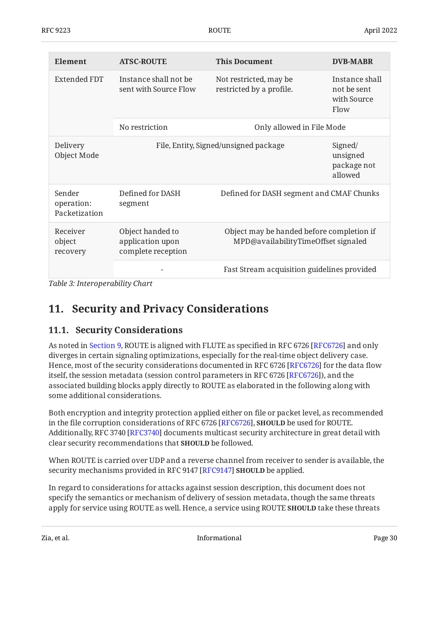| <b>Element</b>                        | <b>ATSC-ROUTE</b>                                          | <b>This Document</b>                                                             | <b>DVB-MABR</b>                                      |
|---------------------------------------|------------------------------------------------------------|----------------------------------------------------------------------------------|------------------------------------------------------|
| Extended FDT                          | Instance shall not be<br>sent with Source Flow             | Not restricted, may be<br>restricted by a profile.                               | Instance shall<br>not be sent<br>with Source<br>Flow |
|                                       | Only allowed in File Mode<br>No restriction                |                                                                                  |                                                      |
| Delivery<br>Object Mode               | File, Entity, Signed/unsigned package                      |                                                                                  | Signed/<br>unsigned<br>package not<br>allowed        |
| Sender<br>operation:<br>Packetization | Defined for DASH<br>segment                                | Defined for DASH segment and CMAF Chunks                                         |                                                      |
| Receiver<br>object<br>recovery        | Object handed to<br>application upon<br>complete reception | Object may be handed before completion if<br>MPD@availabilityTimeOffset signaled |                                                      |
|                                       |                                                            | Fast Stream acquisition guidelines provided                                      |                                                      |

<span id="page-29-0"></span>*[Table 3: Interoperability Chart](#page-28-1)* 

## <span id="page-29-1"></span>**[11. Security and Privacy Considerations](#page-29-0)**

### **[11.1. Security Considerations](#page-29-1)**

As noted in [Section 9](#page-26-1), ROUTE is aligned with FLUTE as specified in RFC 6726 [\[RFC6726\]](#page-32-1) and only diverges in certain signaling optimizations, especially for the real-time object delivery case. Hence, most of the security considerations documented in RFC 6726 [RFC6726] for the data flow itself, the session metadata (session control parameters in RFC 6726 [RFC6726]), and the associated building blocks apply directly to ROUTE as elaborated in the following along with some additional considerations.

Both encryption and integrity protection applied either on file or packet level, as recommended in the file corruption considerations of RFC 6726 [RFC6726]**, SHOULD** be used for ROUTE. Additionally, RFC 3740 [RFC3740] documents multicast security architecture in great detail with clear security recommendations that **SHOULD** be followed.

When ROUTE is carried over UDP and a reverse channel from receiver to sender is available, the security mechanisms provided in RFC 9147 [RFC9147] **SHOULD** be applied.

In regard to considerations for attacks against session description, this document does not specify the semantics or mechanism of delivery of session metadata, though the same threats apply for service using ROUTE as well. Hence, a service using ROUTE **SHOULD** take these threats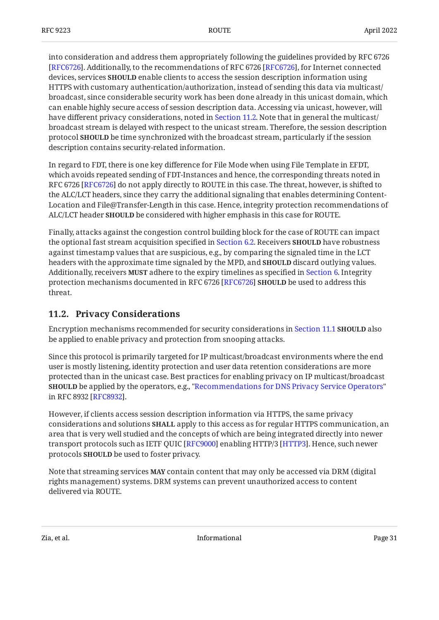into consideration and address them appropriately following the guidelines provided by RFC 6726 [[RFC6726\]](#page-32-1). Additionally, to the recommendations of RFC 6726 [RFC6726], for Internet connected devices, services **SHOULD** enable clients to access the session description information using HTTPS with customary authentication/authorization, instead of sending this data via multicast/ broadcast, since considerable security work has been done already in this unicast domain, which can enable highly secure access of session description data. Accessing via unicast, however, will have different privacy considerations, noted in [Section 11.2.](#page-30-0) Note that in general the multicast/ broadcast stream is delayed with respect to the unicast stream. Therefore, the session description protocol **SHOULD** be time synchronized with the broadcast stream, particularly if the session description contains security-related information.

In regard to FDT, there is one key difference for File Mode when using File Template in EFDT, which avoids repeated sending of FDT-Instances and hence, the corresponding threats noted in RFC 6726 [RFC6726] do not apply directly to ROUTE in this case. The threat, however, is shifted to the ALC/LCT headers, since they carry the additional signaling that enables determining Content-Location and File@Transfer-Length in this case. Hence, integrity protection recommendations of ALC/LCT header **SHOULD** be considered with higher emphasis in this case for ROUTE.

Finally, attacks against the congestion control building block for the case of ROUTE can impact the optional fast stream acquisition specified in [Section 6.2](#page-23-0). Receivers **SHOULD** have robustness against timestamp values that are suspicious, e.g., by comparing the signaled time in the LCT headers with the approximate time signaled by the MPD, and **SHOULD** discard outlying values. Additionally, receivers **MUST** adhere to the expiry timelines as specified in [Section 6](#page-21-0). Integrity protection mechanisms documented in RFC 6726 [RFC6726] **SHOULD** be used to address this threat.

### <span id="page-30-0"></span>**[11.2. Privacy Considerations](#page-30-0)**

Encryption mechanisms recommended for security considerations in [Section 11.1](#page-29-1) **SHOULD** also be applied to enable privacy and protection from snooping attacks.

Since this protocol is primarily targeted for IP multicast/broadcast environments where the end user is mostly listening, identity protection and user data retention considerations are more protected than in the unicast case. Best practices for enabling privacy on IP multicast/broadcast be applied by the operators, e.g., ["Recommendations for DNS Privacy Service Operators"](#page-32-11) **SHOULD** in RFC 8932 [RFC8932].

However, if clients access session description information via HTTPS, the same privacy considerations and solutions **SHALL** apply to this access as for regular HTTPS communication, an area that is very well studied and the concepts of which are being integrated directly into newer transport protocols such as IETF QUIC [RFC9000] enabling HTTP/3 [HTTP3]. Hence, such newer protocols **SHOULD** be used to foster privacy.

Note that streaming services **MAY** contain content that may only be accessed via DRM (digital rights management) systems. DRM systems can prevent unauthorized access to content delivered via ROUTE.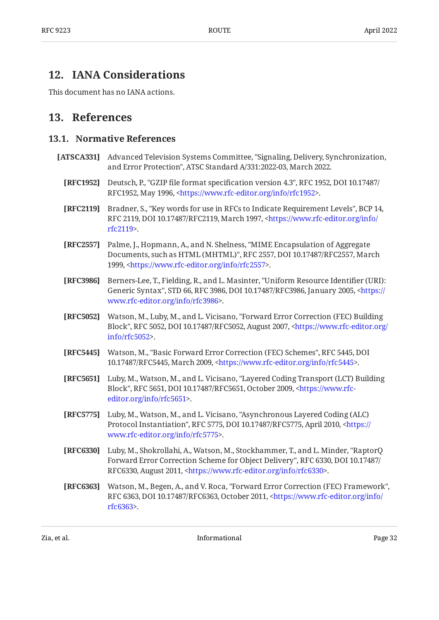### <span id="page-31-0"></span>**[12. IANA Considerations](#page-31-0)**

<span id="page-31-1"></span>This document has no IANA actions.

### <span id="page-31-2"></span>**[13. References](#page-31-1)**

#### **[13.1. Normative References](#page-31-2)**

- <span id="page-31-13"></span><span id="page-31-12"></span><span id="page-31-11"></span><span id="page-31-10"></span><span id="page-31-9"></span><span id="page-31-8"></span><span id="page-31-7"></span><span id="page-31-6"></span><span id="page-31-5"></span><span id="page-31-4"></span><span id="page-31-3"></span>**[ATSCA331]** Advanced Television Systems Committee, "Signaling, Delivery, Synchronization, and Error Protection", ATSC Standard A/331:2022-03, March 2022.
	- **[RFC1952]** Deutsch, P., "GZIP file format specification version 4.3", RFC 1952, DOI 10.17487/ RFC1952, May 1996, <https://www.rfc-editor.org/info/rfc1952>.
	- **[RFC2119]** Bradner, S., "Key words for use in RFCs to Indicate Requirement Levels", BCP 14, RFC 2119, DOI 10.17487/RFC2119, March 1997, [<https://www.rfc-editor.org/info/](https://www.rfc-editor.org/info/rfc2119) . [rfc2119](https://www.rfc-editor.org/info/rfc2119)>
	- **[RFC2557]** Palme, J., Hopmann, A., and N. Shelness, "MIME Encapsulation of Aggregate Documents, such as HTML (MHTML)", RFC 2557, DOI 10.17487/RFC2557, March 1999, <[https://www.rfc-editor.org/info/rfc2557>](https://www.rfc-editor.org/info/rfc2557).
	- **[RFC3986]** Berners-Lee, T., Fielding, R., and L. Masinter, "Uniform Resource Identifier (URI): Generic Syntax", STD 66, RFC 3986, DOI 10.17487/RFC3986, January 2005, [<https://](https://www.rfc-editor.org/info/rfc3986) . [www.rfc-editor.org/info/rfc3986>](https://www.rfc-editor.org/info/rfc3986)
	- **[RFC5052]** Watson, M., Luby, M., and L. Vicisano, "Forward Error Correction (FEC) Building Block", RFC 5052, DOI 10.17487/RFC5052, August 2007, [<https://www.rfc-editor.org/](https://www.rfc-editor.org/info/rfc5052) . [info/rfc5052>](https://www.rfc-editor.org/info/rfc5052)
	- [RFC5445] Watson, M., "Basic Forward Error Correction (FEC) Schemes", RFC 5445, DOI 10.17487/RFC5445, March 2009, <[https://www.rfc-editor.org/info/rfc5445>](https://www.rfc-editor.org/info/rfc5445).
	- **[RFC5651]** Luby, M., Watson, M., and L. Vicisano, "Layered Coding Transport (LCT) Building Block", RFC 5651, DOI 10.17487/RFC5651, October 2009, [<https://www.rfc-](https://www.rfc-editor.org/info/rfc5651). [editor.org/info/rfc5651](https://www.rfc-editor.org/info/rfc5651)>
	- **[RFC5775]** Luby, M., Watson, M., and L. Vicisano, "Asynchronous Layered Coding (ALC) Protocol Instantiation", RFC 5775, DOI 10.17487/RFC5775, April 2010, [<https://](https://www.rfc-editor.org/info/rfc5775) . [www.rfc-editor.org/info/rfc5775>](https://www.rfc-editor.org/info/rfc5775)
	- **[RFC6330]** Luby, M., Shokrollahi, A., Watson, M., Stockhammer, T., and L. Minder, "RaptorQ , , Forward Error Correction Scheme for Object Delivery" RFC 6330 DOI 10.17487/ RFC6330, August 2011, <https://www.rfc-editor.org/info/rfc6330>.
	- **[RFC6363]** Watson, M., Begen, A., and V. Roca, "Forward Error Correction (FEC) Framework", RFC 6363, DOI 10.17487/RFC6363, October 2011, [<https://www.rfc-editor.org/info/](https://www.rfc-editor.org/info/rfc6363) . [rfc6363](https://www.rfc-editor.org/info/rfc6363)>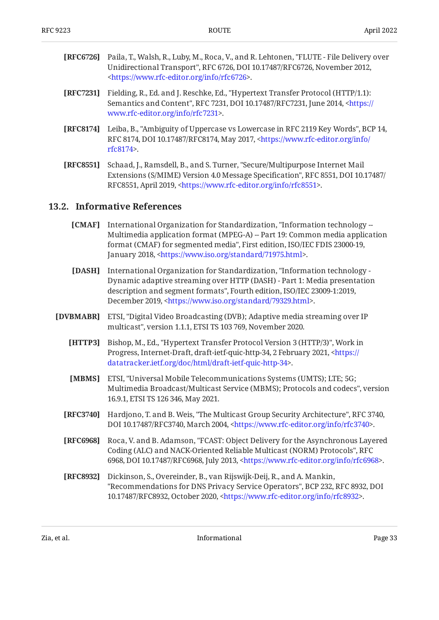- <span id="page-32-1"></span>**[RFC6726]** Paila, T., Walsh, R., Luby, M., Roca, V., and R. Lehtonen, "FLUTE - File Delivery over Unidirectional Transport", RFC 6726, DOI 10.17487/RFC6726, November 2012, . [<https://www.rfc-editor.org/info/rfc6726](https://www.rfc-editor.org/info/rfc6726)>
- <span id="page-32-8"></span>**[RFC7231]** Fielding, R., Ed. and J. Reschke, Ed., "Hypertext Transfer Protocol (HTTP/1.1): Semantics and Content", RFC 7231, DOI 10.17487/RFC7231, June 2014, <[https://](https://www.rfc-editor.org/info/rfc7231) . [www.rfc-editor.org/info/rfc7231>](https://www.rfc-editor.org/info/rfc7231)
- <span id="page-32-7"></span>**[RFC8174]** Leiba, B., "Ambiguity of Uppercase vs Lowercase in RFC 2119 Key Words", BCP 14, RFC 8174, DOI 10.17487/RFC8174, May 2017, <[https://www.rfc-editor.org/info/](https://www.rfc-editor.org/info/rfc8174) . [rfc8174](https://www.rfc-editor.org/info/rfc8174)>
- <span id="page-32-9"></span>**[RFC8551]** Schaad, J., Ramsdell, B., and S. Turner, "Secure/Multipurpose Internet Mail Extensions (S/MIME) Version 4.0 Message Specification", RFC 8551, DOI 10.17487/ RFC8551, April 2019, <https://www.rfc-editor.org/info/rfc8551>.

#### <span id="page-32-3"></span><span id="page-32-0"></span>**[13.2. Informative References](#page-32-0)**

- **[CMAF]** International Organization for Standardization, "Information technology -format (CMAF) for segmented media", First edition, ISO/IEC FDIS 23000-19, January 2018, <https://www.iso.org/standard/71975.html>. Multimedia application format (MPEG-A) -- Part 19: Common media application
- <span id="page-32-2"></span>**[DASH]** , International Organization for Standardization "Information technology description and segment formats", Fourth edition, ISO/IEC 23009-1:2019, December 2019, <https://www.iso.org/standard/79329.html>. Dynamic adaptive streaming over HTTP (DASH) - Part 1: Media presentation
- <span id="page-32-12"></span><span id="page-32-11"></span><span id="page-32-10"></span><span id="page-32-6"></span><span id="page-32-5"></span><span id="page-32-4"></span>**[DVBMABR]** ETSI, "Digital Video Broadcasting (DVB); Adaptive media streaming over IP multicast", version 1.1.1, ETSI TS 103 769, November 2020.
	- **[HTTP3]** Bishop, M., Ed., "Hypertext Transfer Protocol Version 3 (HTTP/3)", Work in Progress, Internet-Draft, draft-ietf-quic-http-34, 2 February 2021, [<https://](https://datatracker.ietf.org/doc/html/draft-ietf-quic-http-34) . [datatracker.ietf.org/doc/html/draft-ietf-quic-http-34>](https://datatracker.ietf.org/doc/html/draft-ietf-quic-http-34)
	- **[MBMS]** , ETSI "Universal Mobile Telecommunications Systems (UMTS); LTE; 5G; Multimedia Broadcast/Multicast Service (MBMS); Protocols and codecs", version 16.9.1, ETSI TS 126 346, May 2021.
	- **[RFC3740]** Hardjono, T. and B. Weis, "The Multicast Group Security Architecture", RFC 3740, DOI 10.17487/RFC3740, March 2004, <https://www.rfc-editor.org/info/rfc3740>.
	- **[RFC6968]** Roca, V. and B. Adamson, "FCAST: Object Delivery for the Asynchronous Layered Coding (ALC) and NACK-Oriented Reliable Multicast (NORM) Protocols", RFC 6968, DOI 10.17487/RFC6968, July 2013, <https://www.rfc-editor.org/info/rfc6968>.
	- **[RFC8932]** Dickinson, S., Overeinder, B., van Rijswijk-Deij, R., and A. Mankin, "Recommendations for DNS Privacy Service Operators", BCP 232, RFC 8932, DOI 10.17487/RFC8932, October 2020, <https://www.rfc-editor.org/info/rfc8932>.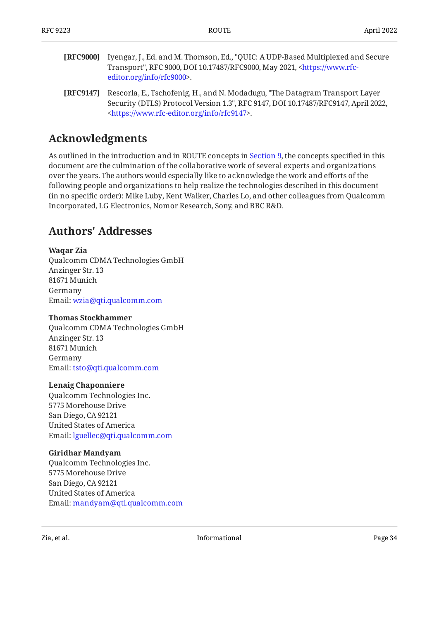- <span id="page-33-3"></span>**[RFC9000]** Iyengar, J., Ed. and M. Thomson, Ed., "QUIC: A UDP-Based Multiplexed and Secure Transport", RFC 9000, DOI 10.17487/RFC9000, May 2021, [<https://www.rfc-](https://www.rfc-editor.org/info/rfc9000). [editor.org/info/rfc9000](https://www.rfc-editor.org/info/rfc9000)>
- <span id="page-33-2"></span>**[RFC9147]** Rescorla, E., Tschofenig, H., and N. Modadugu, "The Datagram Transport Layer Security (DTLS) Protocol Version 1.3", RFC 9147, DOI 10.17487/RFC9147, April 2022, . [<https://www.rfc-editor.org/info/rfc9147](https://www.rfc-editor.org/info/rfc9147)>

## <span id="page-33-0"></span>**[Acknowledgments](#page-33-0)**

As outlined in the introduction and in ROUTE concepts in [Section 9,](#page-26-1) the concepts specified in this document are the culmination of the collaborative work of several experts and organizations over the years. The authors would especially like to acknowledge the work and efforts of the following people and organizations to help realize the technologies described in this document (in no specific order): Mike Luby, Kent Walker, Charles Lo, and other colleagues from Qualcomm Incorporated, LG Electronics, Nomor Research, Sony, and BBC R&D.

## <span id="page-33-1"></span>**[Authors' Addresses](#page-33-1)**

#### **Waqar Zia**

Qualcomm CDMA Technologies GmbH Anzinger Str. 13 81671 Munich Germany Email: [wzia@qti.qualcomm.com](mailto:wzia@qti.qualcomm.com)

#### **Thomas Stockhammer**

Qualcomm CDMA Technologies GmbH Anzinger Str. 13 81671 Munich Germany Email: [tsto@qti.qualcomm.com](mailto:tsto@qti.qualcomm.com)

#### **Lenaig Chaponniere**

Qualcomm Technologies Inc. 5775 Morehouse Drive San Diego, CA 92121 United States of America Email: [lguellec@qti.qualcomm.com](mailto:lguellec@qti.qualcomm.com)

#### **Giridhar Mandyam**

Qualcomm Technologies Inc. 5775 Morehouse Drive San Diego, CA 92121 United States of America Email: [mandyam@qti.qualcomm.com](mailto:mandyam@qti.qualcomm.com)